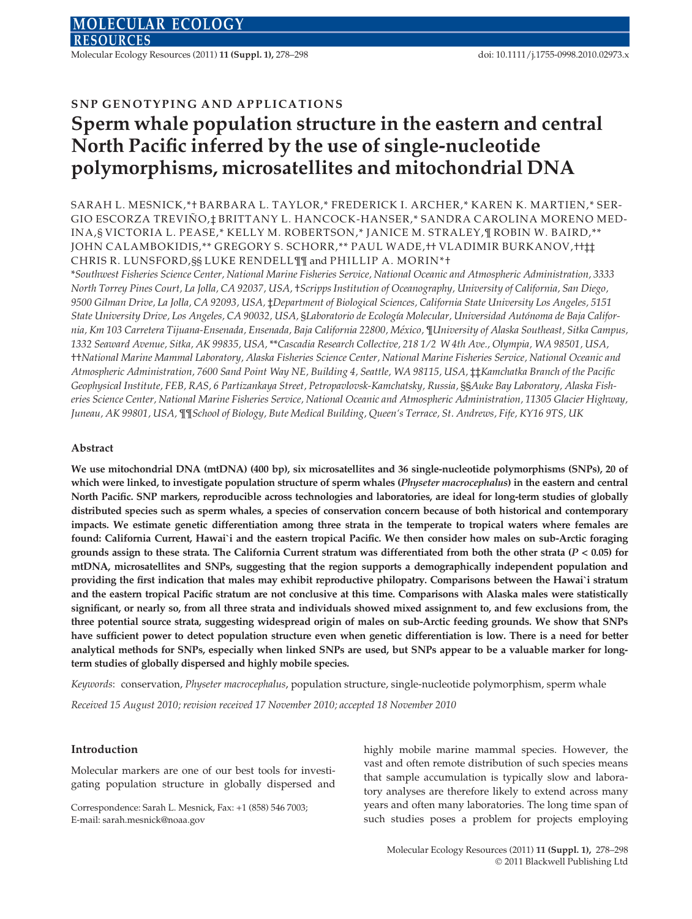Molecular Ecology Resources (2011) 11 (Suppl. 1), 278-298 doi: 10.1111/i.1755-0998.2010.02973.x

# SNP GENOTYPING AND APPLICATIONS

# Sperm whale population structure in the eastern and central North Pacific inferred by the use of single-nucleotide polymorphisms, microsatellites and mitochondrial DNA

SARAH L. MESNICK,\*† BARBARA L. TAYLOR,\* FREDERICK I. ARCHER,\* KAREN K. MARTIEN,\* SER-GIO ESCORZA TREVIÑO,‡ BRITTANY L. HANCOCK-HANSER,\* SANDRA CAROLINA MORENO MED-INA,§ VICTORIA L. PEASE,\* KELLY M. ROBERTSON,\* JANICE M. STRALEY,¶ ROBIN W. BAIRD,\*\* JOHN CALAMBOKIDIS,\*\* GREGORY S. SCHORR,\*\* PAUL WADE,†† VLADIMIR BURKANOV,††‡‡ CHRIS R. LUNSFORD,§§ LUKE RENDELL¶¶ and PHILLIP A. MORIN\*†

\*Southwest Fisheries Science Center, National Marine Fisheries Service, National Oceanic and Atmospheric Administration, 3333 North Torrey Pines Court, La Jolla, CA 92037, USA, †Scripps Institution of Oceanography, University of California, San Diego, 9500 Gilman Drive, La Jolla, CA 92093, USA, ‡Department of Biological Sciences, California State University Los Angeles, 5151 State University Drive, Los Angeles, CA 90032, USA, §Laboratorio de Ecología Molecular, Universidad Autónoma de Baja California, Km 103 Carretera Tijuana-Ensenada, Ensenada, Baja California 22800, Me´xico, ¶University of Alaska Southeast, Sitka Campus, 1332 Seaward Avenue, Sitka, AK 99835, USA, \*\*Cascadia Research Collective, 218 1/2 W 4th Ave., Olympia, WA 98501, USA, ††National Marine Mammal Laboratory, Alaska Fisheries Science Center, National Marine Fisheries Service, National Oceanic and Atmospheric Administration, 7600 Sand Point Way NE, Building 4, Seattle, WA 98115, USA, ‡‡Kamchatka Branch of the Pacific Geophysical Institute, FEB, RAS, 6 Partizankaya Street, Petropavlovsk-Kamchatsky, Russia, §§Auke Bay Laboratory, Alaska Fisheries Science Center, National Marine Fisheries Service, National Oceanic and Atmospheric Administration, 11305 Glacier Highway, Juneau, AK 99801, USA, ¶¶School of Biology, Bute Medical Building, Queen's Terrace, St. Andrews, Fife, KY16 9TS, UK

# Abstract

We use mitochondrial DNA (mtDNA) (400 bp), six microsatellites and 36 single-nucleotide polymorphisms (SNPs), 20 of which were linked, to investigate population structure of sperm whales (Physeter macrocephalus) in the eastern and central North Pacific. SNP markers, reproducible across technologies and laboratories, are ideal for long-term studies of globally distributed species such as sperm whales, a species of conservation concern because of both historical and contemporary impacts. We estimate genetic differentiation among three strata in the temperate to tropical waters where females are found: California Current, Hawai`i and the eastern tropical Pacific. We then consider how males on sub-Arctic foraging grounds assign to these strata. The California Current stratum was differentiated from both the other strata ( $P < 0.05$ ) for mtDNA, microsatellites and SNPs, suggesting that the region supports a demographically independent population and providing the first indication that males may exhibit reproductive philopatry. Comparisons between the Hawai`i stratum and the eastern tropical Pacific stratum are not conclusive at this time. Comparisons with Alaska males were statistically significant, or nearly so, from all three strata and individuals showed mixed assignment to, and few exclusions from, the three potential source strata, suggesting widespread origin of males on sub-Arctic feeding grounds. We show that SNPs have sufficient power to detect population structure even when genetic differentiation is low. There is a need for better analytical methods for SNPs, especially when linked SNPs are used, but SNPs appear to be a valuable marker for longterm studies of globally dispersed and highly mobile species.

Keywords: conservation, Physeter macrocephalus, population structure, single-nucleotide polymorphism, sperm whale

Received 15 August 2010; revision received 17 November 2010; accepted 18 November 2010

## Introduction

Molecular markers are one of our best tools for investigating population structure in globally dispersed and

Correspondence: Sarah L. Mesnick, Fax: +1 (858) 546 7003; E-mail: sarah.mesnick@noaa.gov

highly mobile marine mammal species. However, the vast and often remote distribution of such species means that sample accumulation is typically slow and laboratory analyses are therefore likely to extend across many years and often many laboratories. The long time span of such studies poses a problem for projects employing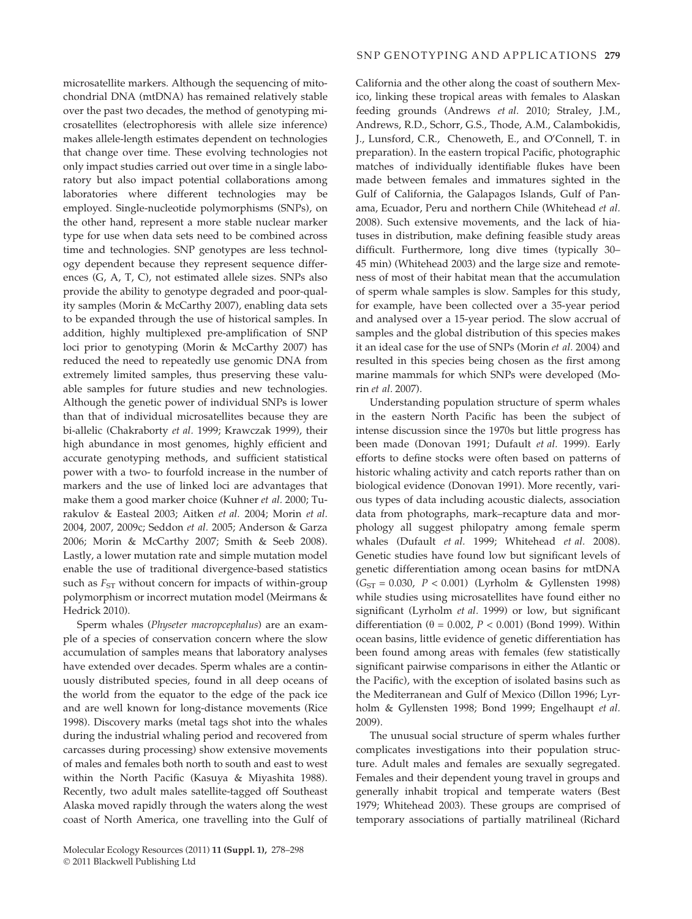microsatellite markers. Although the sequencing of mitochondrial DNA (mtDNA) has remained relatively stable over the past two decades, the method of genotyping microsatellites (electrophoresis with allele size inference) makes allele-length estimates dependent on technologies that change over time. These evolving technologies not only impact studies carried out over time in a single laboratory but also impact potential collaborations among laboratories where different technologies may be employed. Single-nucleotide polymorphisms (SNPs), on the other hand, represent a more stable nuclear marker type for use when data sets need to be combined across time and technologies. SNP genotypes are less technology dependent because they represent sequence differences (G, A, T, C), not estimated allele sizes. SNPs also provide the ability to genotype degraded and poor-quality samples (Morin & McCarthy 2007), enabling data sets to be expanded through the use of historical samples. In addition, highly multiplexed pre-amplification of SNP loci prior to genotyping (Morin & McCarthy 2007) has reduced the need to repeatedly use genomic DNA from extremely limited samples, thus preserving these valuable samples for future studies and new technologies. Although the genetic power of individual SNPs is lower than that of individual microsatellites because they are bi-allelic (Chakraborty et al. 1999; Krawczak 1999), their high abundance in most genomes, highly efficient and accurate genotyping methods, and sufficient statistical power with a two- to fourfold increase in the number of markers and the use of linked loci are advantages that make them a good marker choice (Kuhner et al. 2000; Turakulov & Easteal 2003; Aitken et al. 2004; Morin et al. 2004, 2007, 2009c; Seddon et al. 2005; Anderson & Garza 2006; Morin & McCarthy 2007; Smith & Seeb 2008). Lastly, a lower mutation rate and simple mutation model enable the use of traditional divergence-based statistics such as  $F_{ST}$  without concern for impacts of within-group polymorphism or incorrect mutation model (Meirmans & Hedrick 2010).

Sperm whales (Physeter macropcephalus) are an example of a species of conservation concern where the slow accumulation of samples means that laboratory analyses have extended over decades. Sperm whales are a continuously distributed species, found in all deep oceans of the world from the equator to the edge of the pack ice and are well known for long-distance movements (Rice 1998). Discovery marks (metal tags shot into the whales during the industrial whaling period and recovered from carcasses during processing) show extensive movements of males and females both north to south and east to west within the North Pacific (Kasuya & Miyashita 1988). Recently, two adult males satellite-tagged off Southeast Alaska moved rapidly through the waters along the west coast of North America, one travelling into the Gulf of

California and the other along the coast of southern Mexico, linking these tropical areas with females to Alaskan feeding grounds (Andrews et al. 2010; Straley, J.M., Andrews, R.D., Schorr, G.S., Thode, A.M., Calambokidis, J., Lunsford, C.R., Chenoweth, E., and O'Connell, T. in preparation). In the eastern tropical Pacific, photographic matches of individually identifiable flukes have been made between females and immatures sighted in the Gulf of California, the Galapagos Islands, Gulf of Panama, Ecuador, Peru and northern Chile (Whitehead et al. 2008). Such extensive movements, and the lack of hiatuses in distribution, make defining feasible study areas difficult. Furthermore, long dive times (typically 30– 45 min) (Whitehead 2003) and the large size and remoteness of most of their habitat mean that the accumulation of sperm whale samples is slow. Samples for this study, for example, have been collected over a 35-year period and analysed over a 15-year period. The slow accrual of samples and the global distribution of this species makes it an ideal case for the use of SNPs (Morin et al. 2004) and resulted in this species being chosen as the first among marine mammals for which SNPs were developed (Morin et al. 2007).

Understanding population structure of sperm whales in the eastern North Pacific has been the subject of intense discussion since the 1970s but little progress has been made (Donovan 1991; Dufault et al. 1999). Early efforts to define stocks were often based on patterns of historic whaling activity and catch reports rather than on biological evidence (Donovan 1991). More recently, various types of data including acoustic dialects, association data from photographs, mark–recapture data and morphology all suggest philopatry among female sperm whales (Dufault et al. 1999; Whitehead et al. 2008). Genetic studies have found low but significant levels of genetic differentiation among ocean basins for mtDNA  $(G_{ST} = 0.030, P < 0.001)$  (Lyrholm & Gyllensten 1998) while studies using microsatellites have found either no significant (Lyrholm et al. 1999) or low, but significant differentiation ( $\theta = 0.002$ ,  $P < 0.001$ ) (Bond 1999). Within ocean basins, little evidence of genetic differentiation has been found among areas with females (few statistically significant pairwise comparisons in either the Atlantic or the Pacific), with the exception of isolated basins such as the Mediterranean and Gulf of Mexico (Dillon 1996; Lyrholm & Gyllensten 1998; Bond 1999; Engelhaupt et al. 2009).

The unusual social structure of sperm whales further complicates investigations into their population structure. Adult males and females are sexually segregated. Females and their dependent young travel in groups and generally inhabit tropical and temperate waters (Best 1979; Whitehead 2003). These groups are comprised of temporary associations of partially matrilineal (Richard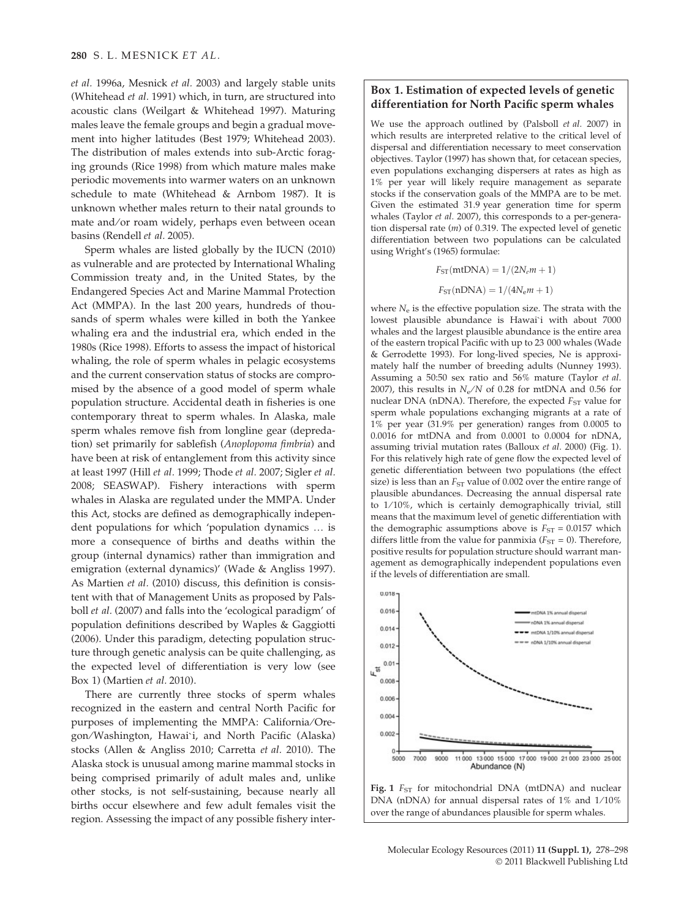et al. 1996a, Mesnick et al. 2003) and largely stable units (Whitehead et al. 1991) which, in turn, are structured into acoustic clans (Weilgart & Whitehead 1997). Maturing males leave the female groups and begin a gradual movement into higher latitudes (Best 1979; Whitehead 2003). The distribution of males extends into sub-Arctic foraging grounds (Rice 1998) from which mature males make periodic movements into warmer waters on an unknown schedule to mate (Whitehead & Arnbom 1987). It is unknown whether males return to their natal grounds to mate and/or roam widely, perhaps even between ocean basins (Rendell et al. 2005).

Sperm whales are listed globally by the IUCN (2010) as vulnerable and are protected by International Whaling Commission treaty and, in the United States, by the Endangered Species Act and Marine Mammal Protection Act (MMPA). In the last 200 years, hundreds of thousands of sperm whales were killed in both the Yankee whaling era and the industrial era, which ended in the 1980s (Rice 1998). Efforts to assess the impact of historical whaling, the role of sperm whales in pelagic ecosystems and the current conservation status of stocks are compromised by the absence of a good model of sperm whale population structure. Accidental death in fisheries is one contemporary threat to sperm whales. In Alaska, male sperm whales remove fish from longline gear (depredation) set primarily for sablefish (Anoplopoma fimbria) and have been at risk of entanglement from this activity since at least 1997 (Hill et al. 1999; Thode et al. 2007; Sigler et al. 2008; SEASWAP). Fishery interactions with sperm whales in Alaska are regulated under the MMPA. Under this Act, stocks are defined as demographically independent populations for which 'population dynamics … is more a consequence of births and deaths within the group (internal dynamics) rather than immigration and emigration (external dynamics)' (Wade & Angliss 1997). As Martien et al. (2010) discuss, this definition is consistent with that of Management Units as proposed by Palsboll et al. (2007) and falls into the 'ecological paradigm' of population definitions described by Waples & Gaggiotti (2006). Under this paradigm, detecting population structure through genetic analysis can be quite challenging, as the expected level of differentiation is very low (see Box 1) (Martien et al. 2010).

There are currently three stocks of sperm whales recognized in the eastern and central North Pacific for purposes of implementing the MMPA: California/Oregon ⁄Washington, Hawai`i, and North Pacific (Alaska) stocks (Allen & Angliss 2010; Carretta et al. 2010). The Alaska stock is unusual among marine mammal stocks in being comprised primarily of adult males and, unlike other stocks, is not self-sustaining, because nearly all births occur elsewhere and few adult females visit the region. Assessing the impact of any possible fishery inter-

## Box 1. Estimation of expected levels of genetic differentiation for North Pacific sperm whales

We use the approach outlined by (Palsboll et al. 2007) in which results are interpreted relative to the critical level of dispersal and differentiation necessary to meet conservation objectives. Taylor (1997) has shown that, for cetacean species, even populations exchanging dispersers at rates as high as 1% per year will likely require management as separate stocks if the conservation goals of the MMPA are to be met. Given the estimated 31.9 year generation time for sperm whales (Taylor et al. 2007), this corresponds to a per-generation dispersal rate (m) of 0.319. The expected level of genetic differentiation between two populations can be calculated using Wright's (1965) formulae:

$$
F_{ST}(mtDNA) = 1/(2N_e m + 1)
$$

$$
F_{ST}(nDNA) = 1/(4N_e m + 1)
$$

where  $N_e$  is the effective population size. The strata with the lowest plausible abundance is Hawai`i with about 7000 whales and the largest plausible abundance is the entire area of the eastern tropical Pacific with up to 23 000 whales (Wade & Gerrodette 1993). For long-lived species, Ne is approximately half the number of breeding adults (Nunney 1993). Assuming a 50:50 sex ratio and 56% mature (Taylor et al. 2007), this results in  $N_e/N$  of 0.28 for mtDNA and 0.56 for nuclear DNA (nDNA). Therefore, the expected  $F_{ST}$  value for sperm whale populations exchanging migrants at a rate of 1% per year (31.9% per generation) ranges from 0.0005 to 0.0016 for mtDNA and from 0.0001 to 0.0004 for nDNA, assuming trivial mutation rates (Balloux et al. 2000) (Fig. 1). For this relatively high rate of gene flow the expected level of genetic differentiation between two populations (the effect size) is less than an  $F_{\mathrm{ST}}$  value of 0.002 over the entire range of plausible abundances. Decreasing the annual dispersal rate to 1/10%, which is certainly demographically trivial, still means that the maximum level of genetic differentiation with the demographic assumptions above is  $F_{ST} = 0.0157$  which differs little from the value for panmixia ( $F_{ST} = 0$ ). Therefore, positive results for population structure should warrant management as demographically independent populations even if the levels of differentiation are small.

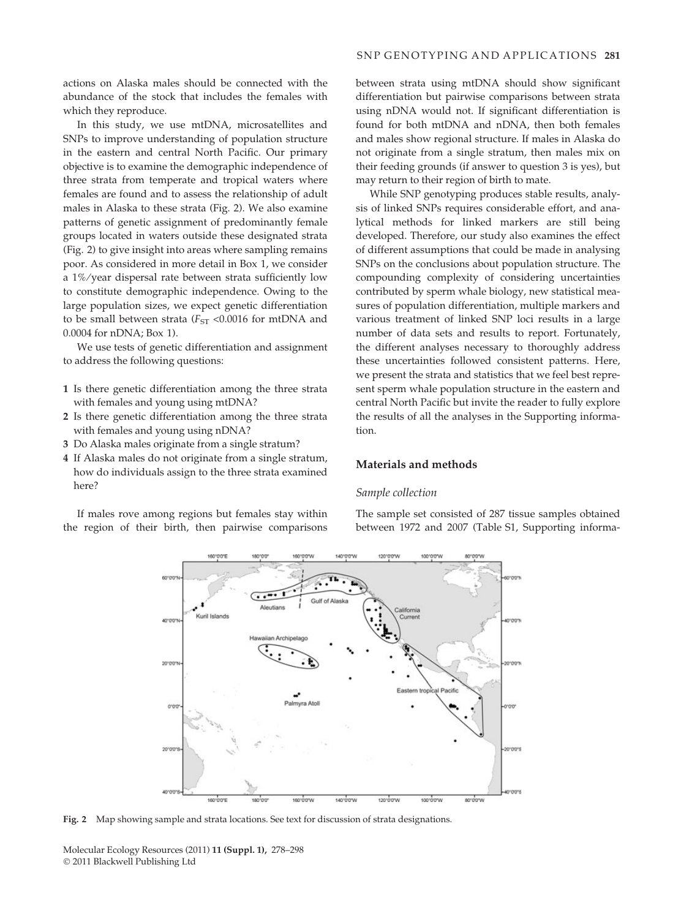actions on Alaska males should be connected with the abundance of the stock that includes the females with which they reproduce.

In this study, we use mtDNA, microsatellites and SNPs to improve understanding of population structure in the eastern and central North Pacific. Our primary objective is to examine the demographic independence of three strata from temperate and tropical waters where females are found and to assess the relationship of adult males in Alaska to these strata (Fig. 2). We also examine patterns of genetic assignment of predominantly female groups located in waters outside these designated strata (Fig. 2) to give insight into areas where sampling remains poor. As considered in more detail in Box 1, we consider a 1%/year dispersal rate between strata sufficiently low to constitute demographic independence. Owing to the large population sizes, we expect genetic differentiation to be small between strata ( $F_{ST}$  <0.0016 for mtDNA and 0.0004 for nDNA; Box 1).

We use tests of genetic differentiation and assignment to address the following questions:

- 1 Is there genetic differentiation among the three strata with females and young using mtDNA?
- 2 Is there genetic differentiation among the three strata with females and young using nDNA?
- 3 Do Alaska males originate from a single stratum?
- 4 If Alaska males do not originate from a single stratum, how do individuals assign to the three strata examined here?

If males rove among regions but females stay within the region of their birth, then pairwise comparisons between strata using mtDNA should show significant differentiation but pairwise comparisons between strata using nDNA would not. If significant differentiation is found for both mtDNA and nDNA, then both females and males show regional structure. If males in Alaska do not originate from a single stratum, then males mix on their feeding grounds (if answer to question 3 is yes), but may return to their region of birth to mate.

While SNP genotyping produces stable results, analysis of linked SNPs requires considerable effort, and analytical methods for linked markers are still being developed. Therefore, our study also examines the effect of different assumptions that could be made in analysing SNPs on the conclusions about population structure. The compounding complexity of considering uncertainties contributed by sperm whale biology, new statistical measures of population differentiation, multiple markers and various treatment of linked SNP loci results in a large number of data sets and results to report. Fortunately, the different analyses necessary to thoroughly address these uncertainties followed consistent patterns. Here, we present the strata and statistics that we feel best represent sperm whale population structure in the eastern and central North Pacific but invite the reader to fully explore the results of all the analyses in the Supporting information.

## Materials and methods

#### Sample collection

The sample set consisted of 287 tissue samples obtained between 1972 and 2007 (Table S1, Supporting informa-



Fig. 2 Map showing sample and strata locations. See text for discussion of strata designations.

Molecular Ecology Resources (2011) 11 (Suppl. 1), 278–298 - 2011 Blackwell Publishing Ltd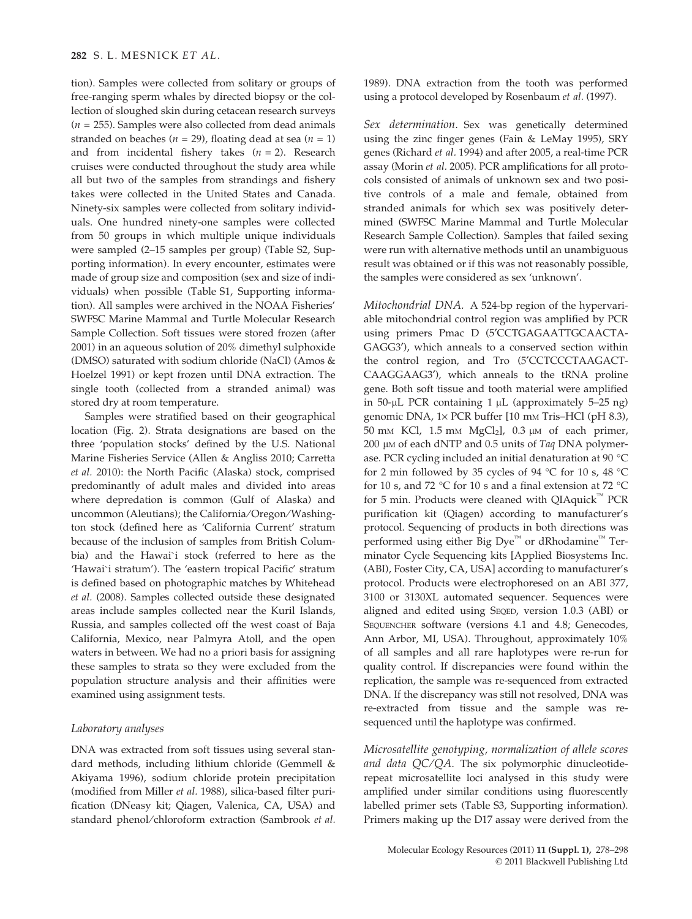tion). Samples were collected from solitary or groups of free-ranging sperm whales by directed biopsy or the collection of sloughed skin during cetacean research surveys  $(n = 255)$ . Samples were also collected from dead animals stranded on beaches ( $n = 29$ ), floating dead at sea ( $n = 1$ ) and from incidental fishery takes  $(n = 2)$ . Research cruises were conducted throughout the study area while all but two of the samples from strandings and fishery takes were collected in the United States and Canada. Ninety-six samples were collected from solitary individuals. One hundred ninety-one samples were collected from 50 groups in which multiple unique individuals were sampled (2–15 samples per group) (Table S2, Supporting information). In every encounter, estimates were made of group size and composition (sex and size of individuals) when possible (Table S1, Supporting information). All samples were archived in the NOAA Fisheries' SWFSC Marine Mammal and Turtle Molecular Research Sample Collection. Soft tissues were stored frozen (after 2001) in an aqueous solution of 20% dimethyl sulphoxide (DMSO) saturated with sodium chloride (NaCl) (Amos & Hoelzel 1991) or kept frozen until DNA extraction. The single tooth (collected from a stranded animal) was stored dry at room temperature.

Samples were stratified based on their geographical location (Fig. 2). Strata designations are based on the three 'population stocks' defined by the U.S. National Marine Fisheries Service (Allen & Angliss 2010; Carretta et al. 2010): the North Pacific (Alaska) stock, comprised predominantly of adult males and divided into areas where depredation is common (Gulf of Alaska) and uncommon (Aleutians); the California/Oregon/Washington stock (defined here as 'California Current' stratum because of the inclusion of samples from British Columbia) and the Hawai`i stock (referred to here as the 'Hawai`i stratum'). The 'eastern tropical Pacific' stratum is defined based on photographic matches by Whitehead et al. (2008). Samples collected outside these designated areas include samples collected near the Kuril Islands, Russia, and samples collected off the west coast of Baja California, Mexico, near Palmyra Atoll, and the open waters in between. We had no a priori basis for assigning these samples to strata so they were excluded from the population structure analysis and their affinities were examined using assignment tests.

## Laboratory analyses

DNA was extracted from soft tissues using several standard methods, including lithium chloride (Gemmell & Akiyama 1996), sodium chloride protein precipitation (modified from Miller et al. 1988), silica-based filter purification (DNeasy kit; Qiagen, Valenica, CA, USA) and standard phenol/chloroform extraction (Sambrook et al.

1989). DNA extraction from the tooth was performed using a protocol developed by Rosenbaum et al. (1997).

Sex determination. Sex was genetically determined using the zinc finger genes (Fain & LeMay 1995), SRY genes (Richard et al. 1994) and after 2005, a real-time PCR assay (Morin et al. 2005). PCR amplifications for all protocols consisted of animals of unknown sex and two positive controls of a male and female, obtained from stranded animals for which sex was positively determined (SWFSC Marine Mammal and Turtle Molecular Research Sample Collection). Samples that failed sexing were run with alternative methods until an unambiguous result was obtained or if this was not reasonably possible, the samples were considered as sex 'unknown'.

Mitochondrial DNA. A 524-bp region of the hypervariable mitochondrial control region was amplified by PCR using primers Pmac D (5¢CCTGAGAATTGCAACTA-GAGG3'), which anneals to a conserved section within the control region, and Tro (5¢CCTCCCTAAGACT-CAAGGAAG3'), which anneals to the tRNA proline gene. Both soft tissue and tooth material were amplified in 50-µL PCR containing 1 µL (approximately 5–25 ng) genomic DNA, 1× PCR buffer [10 mm Tris–HCl (pH 8.3), 50 mm KCl,  $1.5$  mm MgCl<sub>2</sub>],  $0.3$   $\mu$ m of each primer, 200  $\mu$ M of each dNTP and 0.5 units of Taq DNA polymerase. PCR cycling included an initial denaturation at 90 °C for 2 min followed by 35 cycles of 94  $\degree$ C for 10 s, 48  $\degree$ C for 10 s, and 72 °C for 10 s and a final extension at 72 °C for 5 min. Products were cleaned with QIAquick<sup> $M$ </sup> PCR purification kit (Qiagen) according to manufacturer's protocol. Sequencing of products in both directions was performed using either Big  $Dye^{m}$  or dRhodamine<sup> $m$ </sup> Terminator Cycle Sequencing kits [Applied Biosystems Inc. (ABI), Foster City, CA, USA] according to manufacturer's protocol. Products were electrophoresed on an ABI 377, 3100 or 3130XL automated sequencer. Sequences were aligned and edited using SEQED, version 1.0.3 (ABI) or SEQUENCHER software (versions 4.1 and 4.8; Genecodes, Ann Arbor, MI, USA). Throughout, approximately 10% of all samples and all rare haplotypes were re-run for quality control. If discrepancies were found within the replication, the sample was re-sequenced from extracted DNA. If the discrepancy was still not resolved, DNA was re-extracted from tissue and the sample was resequenced until the haplotype was confirmed.

Microsatellite genotyping, normalization of allele scores and data QC/QA. The six polymorphic dinucleotiderepeat microsatellite loci analysed in this study were amplified under similar conditions using fluorescently labelled primer sets (Table S3, Supporting information). Primers making up the D17 assay were derived from the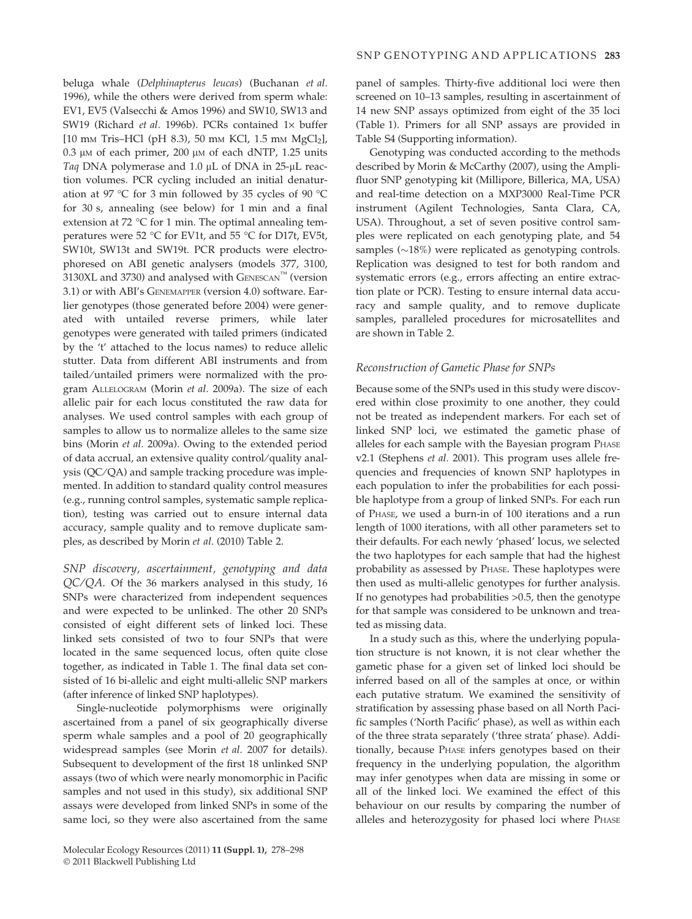beluga whale (Delphinapterus leucas) (Buchanan et al. 1996), while the others were derived from sperm whale: EV1, EV5 (Valsecchi & Amos 1996) and SW10, SW13 and SW19 (Richard et al. 1996b). PCRs contained  $1\times$  buffer  $[10 \text{ mm Tris-HCl}$  (pH 8.3), 50 mm KCl, 1.5 mm MgCl<sub>2</sub>], 0.3  $\mu$ M of each primer, 200  $\mu$ M of each dNTP, 1.25 units Taq DNA polymerase and  $1.0 \mu L$  of DNA in 25- $\mu L$  reaction volumes. PCR cycling included an initial denaturation at 97 °C for 3 min followed by 35 cycles of 90 °C for 30 s, annealing (see below) for 1 min and a final extension at 72  $\degree$ C for 1 min. The optimal annealing temperatures were 52 °C for EV1t, and 55 °C for D17t, EV5t, SW10t, SW13t and SW19t. PCR products were electrophoresed on ABI genetic analysers (models 377, 3100, 3130XL and 3730) and analysed with  $G$ ENESCAN<sup>™</sup> (version 3.1) or with ABI's GENEMAPPER (version 4.0) software. Earlier genotypes (those generated before 2004) were generated with untailed reverse primers, while later genotypes were generated with tailed primers (indicated by the 't' attached to the locus names) to reduce allelic stutter. Data from different ABI instruments and from tailed/untailed primers were normalized with the program ALLELOGRAM (Morin et al. 2009a). The size of each allelic pair for each locus constituted the raw data for analyses. We used control samples with each group of samples to allow us to normalize alleles to the same size bins (Morin et al. 2009a). Owing to the extended period of data accrual, an extensive quality control/quality analysis (QC/QA) and sample tracking procedure was implemented. In addition to standard quality control measures (e.g., running control samples, systematic sample replication), testing was carried out to ensure internal data accuracy, sample quality and to remove duplicate samples, as described by Morin et al. (2010) Table 2.

SNP discovery, ascertainment, genotyping and data QC⁄QA. Of the 36 markers analysed in this study, 16 SNPs were characterized from independent sequences and were expected to be unlinked. The other 20 SNPs consisted of eight different sets of linked loci. These linked sets consisted of two to four SNPs that were located in the same sequenced locus, often quite close together, as indicated in Table 1. The final data set consisted of 16 bi-allelic and eight multi-allelic SNP markers (after inference of linked SNP haplotypes).

Single-nucleotide polymorphisms were originally ascertained from a panel of six geographically diverse sperm whale samples and a pool of 20 geographically widespread samples (see Morin et al. 2007 for details). Subsequent to development of the first 18 unlinked SNP assays (two of which were nearly monomorphic in Pacific samples and not used in this study), six additional SNP assays were developed from linked SNPs in some of the same loci, so they were also ascertained from the same panel of samples. Thirty-five additional loci were then screened on 10–13 samples, resulting in ascertainment of 14 new SNP assays optimized from eight of the 35 loci (Table 1). Primers for all SNP assays are provided in Table S4 (Supporting information).

Genotyping was conducted according to the methods described by Morin & McCarthy (2007), using the Amplifluor SNP genotyping kit (Millipore, Billerica, MA, USA) and real-time detection on a MXP3000 Real-Time PCR instrument (Agilent Technologies, Santa Clara, CA, USA). Throughout, a set of seven positive control samples were replicated on each genotyping plate, and 54 samples  $(\sim]18\%)$  were replicated as genotyping controls. Replication was designed to test for both random and systematic errors (e.g., errors affecting an entire extraction plate or PCR). Testing to ensure internal data accuracy and sample quality, and to remove duplicate samples, paralleled procedures for microsatellites and are shown in Table 2.

## Reconstruction of Gametic Phase for SNPs

Because some of the SNPs used in this study were discovered within close proximity to one another, they could not be treated as independent markers. For each set of linked SNP loci, we estimated the gametic phase of alleles for each sample with the Bayesian program PHASE v2.1 (Stephens et al. 2001). This program uses allele frequencies and frequencies of known SNP haplotypes in each population to infer the probabilities for each possible haplotype from a group of linked SNPs. For each run of PHASE, we used a burn-in of 100 iterations and a run length of 1000 iterations, with all other parameters set to their defaults. For each newly 'phased' locus, we selected the two haplotypes for each sample that had the highest probability as assessed by PHASE. These haplotypes were then used as multi-allelic genotypes for further analysis. If no genotypes had probabilities >0.5, then the genotype for that sample was considered to be unknown and treated as missing data.

In a study such as this, where the underlying population structure is not known, it is not clear whether the gametic phase for a given set of linked loci should be inferred based on all of the samples at once, or within each putative stratum. We examined the sensitivity of stratification by assessing phase based on all North Pacific samples ('North Pacific' phase), as well as within each of the three strata separately ('three strata' phase). Additionally, because PHASE infers genotypes based on their frequency in the underlying population, the algorithm may infer genotypes when data are missing in some or all of the linked loci. We examined the effect of this behaviour on our results by comparing the number of alleles and heterozygosity for phased loci where PHASE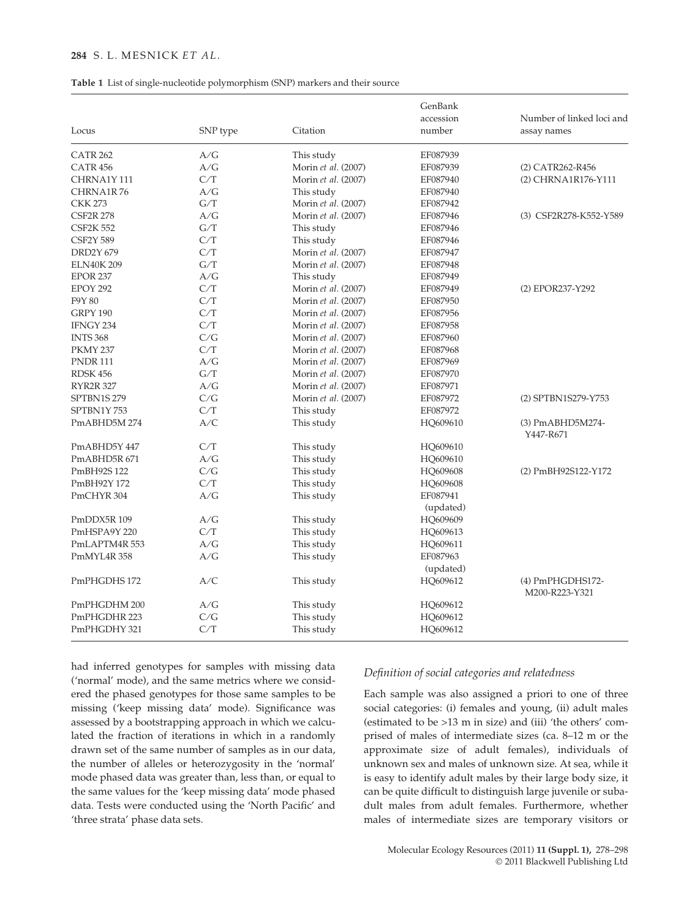| Locus                  | SNP type | Citation            | GenBank<br>accession<br>number | Number of linked loci and<br>assay names |
|------------------------|----------|---------------------|--------------------------------|------------------------------------------|
| <b>CATR 262</b>        | A/G      | This study          | EF087939                       |                                          |
| <b>CATR 456</b>        | A/G      | Morin et al. (2007) | EF087939                       | (2) CATR262-R456                         |
| CHRNA1Y 111            | C/T      | Morin et al. (2007) | EF087940                       | (2) CHRNA1R176-Y111                      |
| CHRNA1R76              | A/G      | This study          | EF087940                       |                                          |
| <b>CKK 273</b>         | G/T      | Morin et al. (2007) | EF087942                       |                                          |
| <b>CSF2R 278</b>       | A/G      | Morin et al. (2007) | EF087946                       | (3) CSF2R278-K552-Y589                   |
| <b>CSF2K 552</b>       | G/T      | This study          | EF087946                       |                                          |
| <b>CSF2Y 589</b>       | C/T      | This study          | EF087946                       |                                          |
| <b>DRD2Y 679</b>       | C/T      | Morin et al. (2007) | EF087947                       |                                          |
| <b>ELN40K 209</b>      | G/T      | Morin et al. (2007) | EF087948                       |                                          |
| <b>EPOR 237</b>        | A/G      | This study          | EF087949                       |                                          |
| EPOY 292               | C/T      | Morin et al. (2007) | EF087949                       | (2) EPOR237-Y292                         |
| F9Y 80                 | C/T      | Morin et al. (2007) | EF087950                       |                                          |
| GRPY 190               | C/T      | Morin et al. (2007) | EF087956                       |                                          |
| IFNGY 234              | C/T      | Morin et al. (2007) | EF087958                       |                                          |
| <b>INTS 368</b>        | C/G      | Morin et al. (2007) | EF087960                       |                                          |
| <b>PKMY 237</b>        | C/T      | Morin et al. (2007) | EF087968                       |                                          |
| <b>PNDR111</b>         | A/G      | Morin et al. (2007) | EF087969                       |                                          |
| <b>RDSK 456</b>        | G/T      | Morin et al. (2007) | EF087970                       |                                          |
| <b>RYR2R 327</b>       | A/G      | Morin et al. (2007) | EF087971                       |                                          |
| SPTBN1S <sub>279</sub> | C/G      | Morin et al. (2007) | EF087972                       | (2) SPTBN1S279-Y753                      |
| SPTBN1Y753             | C/T      | This study          | EF087972                       |                                          |
| PmABHD5M274            | A/C      | This study          | HQ609610                       | (3) PmABHD5M274-<br>Y447-R671            |
| PmABHD5Y447            | C/T      | This study          | HQ609610                       |                                          |
| PmABHD5R 671           | A/G      | This study          | HQ609610                       |                                          |
| PmBH92S 122            | C/G      | This study          | HQ609608                       | (2) PmBH92S122-Y172                      |
| PmBH92Y 172            | C/T      | This study          | HQ609608                       |                                          |
| PmCHYR 304             | A/G      | This study          | EF087941                       |                                          |
|                        |          |                     | (updated)                      |                                          |
| PmDDX5R 109            | A/G      | This study          | HQ609609                       |                                          |
| PmHSPA9Y 220           | C/T      | This study          | HQ609613                       |                                          |
| PmLAPTM4R 553          | A/G      | This study          | HQ609611                       |                                          |
| PmMYL4R 358            | A/G      | This study          | EF087963                       |                                          |
|                        |          |                     | (updated)                      |                                          |
| PmPHGDHS 172           | A/C      | This study          | HQ609612                       | (4) PmPHGDHS172-<br>M200-R223-Y321       |
| PmPHGDHM 200           | A/G      | This study          | HQ609612                       |                                          |
| PmPHGDHR 223           | C/G      | This study          | HQ609612                       |                                          |
| PmPHGDHY 321           | C/T      | This study          | HQ609612                       |                                          |

had inferred genotypes for samples with missing data ('normal' mode), and the same metrics where we considered the phased genotypes for those same samples to be missing ('keep missing data' mode). Significance was assessed by a bootstrapping approach in which we calculated the fraction of iterations in which in a randomly drawn set of the same number of samples as in our data, the number of alleles or heterozygosity in the 'normal' mode phased data was greater than, less than, or equal to the same values for the 'keep missing data' mode phased data. Tests were conducted using the 'North Pacific' and 'three strata' phase data sets.

#### Definition of social categories and relatedness

Each sample was also assigned a priori to one of three social categories: (i) females and young, (ii) adult males (estimated to be >13 m in size) and (iii) 'the others' comprised of males of intermediate sizes (ca. 8–12 m or the approximate size of adult females), individuals of unknown sex and males of unknown size. At sea, while it is easy to identify adult males by their large body size, it can be quite difficult to distinguish large juvenile or subadult males from adult females. Furthermore, whether males of intermediate sizes are temporary visitors or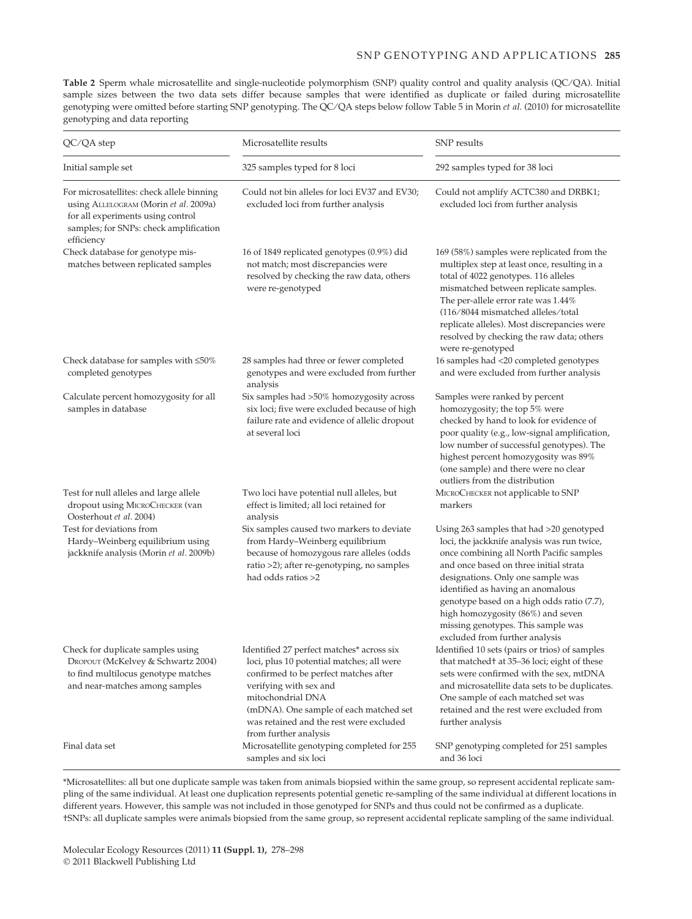## SNP GENOTYPING AND APPLICATIONS 285

Table 2 Sperm whale microsatellite and single-nucleotide polymorphism (SNP) quality control and quality analysis (QC/QA). Initial sample sizes between the two data sets differ because samples that were identified as duplicate or failed during microsatellite genotyping were omitted before starting SNP genotyping. The QC/QA steps below follow Table 5 in Morin et al. (2010) for microsatellite genotyping and data reporting

| QC/QA step                                                                                                                                                                      | Microsatellite results                                                                                                                                                                                                                                                                       | <b>SNP</b> results                                                                                                                                                                                                                                                                                                                                                                                                 |  |  |  |
|---------------------------------------------------------------------------------------------------------------------------------------------------------------------------------|----------------------------------------------------------------------------------------------------------------------------------------------------------------------------------------------------------------------------------------------------------------------------------------------|--------------------------------------------------------------------------------------------------------------------------------------------------------------------------------------------------------------------------------------------------------------------------------------------------------------------------------------------------------------------------------------------------------------------|--|--|--|
| Initial sample set                                                                                                                                                              | 325 samples typed for 8 loci                                                                                                                                                                                                                                                                 | 292 samples typed for 38 loci                                                                                                                                                                                                                                                                                                                                                                                      |  |  |  |
| For microsatellites: check allele binning<br>using ALLELOGRAM (Morin et al. 2009a)<br>for all experiments using control<br>samples; for SNPs: check amplification<br>efficiency | Could not bin alleles for loci EV37 and EV30;<br>excluded loci from further analysis                                                                                                                                                                                                         | Could not amplify ACTC380 and DRBK1;<br>excluded loci from further analysis                                                                                                                                                                                                                                                                                                                                        |  |  |  |
| Check database for genotype mis-<br>matches between replicated samples                                                                                                          | 16 of 1849 replicated genotypes (0.9%) did<br>not match; most discrepancies were<br>resolved by checking the raw data, others<br>were re-genotyped                                                                                                                                           | 169 (58%) samples were replicated from the<br>multiplex step at least once, resulting in a<br>total of 4022 genotypes. 116 alleles<br>mismatched between replicate samples.<br>The per-allele error rate was 1.44%<br>(116/8044 mismatched alleles/total<br>replicate alleles). Most discrepancies were<br>resolved by checking the raw data; others<br>were re-genotyped                                          |  |  |  |
| Check database for samples with $\leq 50\%$<br>completed genotypes                                                                                                              | 28 samples had three or fewer completed<br>genotypes and were excluded from further<br>analysis                                                                                                                                                                                              | 16 samples had <20 completed genotypes<br>and were excluded from further analysis                                                                                                                                                                                                                                                                                                                                  |  |  |  |
| Calculate percent homozygosity for all<br>samples in database                                                                                                                   | Six samples had >50% homozygosity across<br>six loci; five were excluded because of high<br>failure rate and evidence of allelic dropout<br>at several loci                                                                                                                                  | Samples were ranked by percent<br>homozygosity; the top 5% were<br>checked by hand to look for evidence of<br>poor quality (e.g., low-signal amplification,<br>low number of successful genotypes). The<br>highest percent homozygosity was 89%<br>(one sample) and there were no clear<br>outliers from the distribution                                                                                          |  |  |  |
| Test for null alleles and large allele<br>dropout using MICROCHECKER (van<br>Oosterhout et al. 2004)                                                                            | Two loci have potential null alleles, but<br>effect is limited; all loci retained for<br>analysis                                                                                                                                                                                            | MICROCHECKER not applicable to SNP<br>markers                                                                                                                                                                                                                                                                                                                                                                      |  |  |  |
| Test for deviations from<br>Hardy-Weinberg equilibrium using<br>jackknife analysis (Morin et al. 2009b)                                                                         | Six samples caused two markers to deviate<br>from Hardy-Weinberg equilibrium<br>because of homozygous rare alleles (odds<br>ratio >2); after re-genotyping, no samples<br>had odds ratios >2                                                                                                 | Using 263 samples that had >20 genotyped<br>loci, the jackknife analysis was run twice,<br>once combining all North Pacific samples<br>and once based on three initial strata<br>designations. Only one sample was<br>identified as having an anomalous<br>genotype based on a high odds ratio (7.7),<br>high homozygosity (86%) and seven<br>missing genotypes. This sample was<br>excluded from further analysis |  |  |  |
| Check for duplicate samples using<br>DROPOUT (McKelvey & Schwartz 2004)<br>to find multilocus genotype matches<br>and near-matches among samples                                | Identified 27 perfect matches* across six<br>loci, plus 10 potential matches; all were<br>confirmed to be perfect matches after<br>verifying with sex and<br>mitochondrial DNA<br>(mDNA). One sample of each matched set<br>was retained and the rest were excluded<br>from further analysis | Identified 10 sets (pairs or trios) of samples<br>that matched <sup>+</sup> at 35-36 loci; eight of these<br>sets were confirmed with the sex, mtDNA<br>and microsatellite data sets to be duplicates.<br>One sample of each matched set was<br>retained and the rest were excluded from<br>further analysis                                                                                                       |  |  |  |
| Final data set                                                                                                                                                                  | Microsatellite genotyping completed for 255<br>samples and six loci                                                                                                                                                                                                                          | SNP genotyping completed for 251 samples<br>and 36 loci                                                                                                                                                                                                                                                                                                                                                            |  |  |  |

\*Microsatellites: all but one duplicate sample was taken from animals biopsied within the same group, so represent accidental replicate sampling of the same individual. At least one duplication represents potential genetic re-sampling of the same individual at different locations in different years. However, this sample was not included in those genotyped for SNPs and thus could not be confirmed as a duplicate. †SNPs: all duplicate samples were animals biopsied from the same group, so represent accidental replicate sampling of the same individual.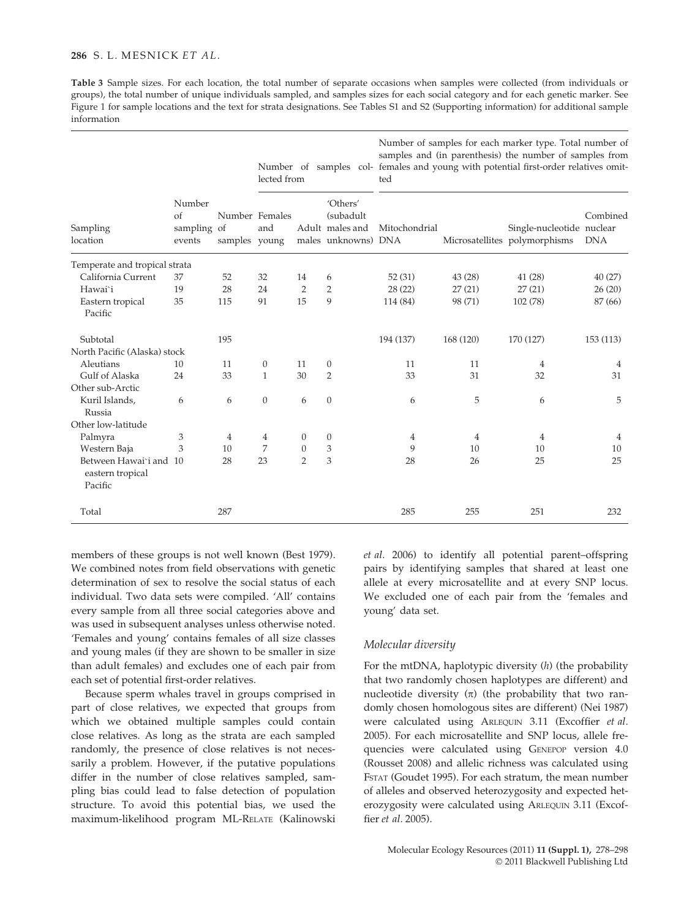Table 3 Sample sizes. For each location, the total number of separate occasions when samples were collected (from individuals or groups), the total number of unique individuals sampled, and samples sizes for each social category and for each genetic marker. See Figure 1 for sample locations and the text for strata designations. See Tables S1 and S2 (Supporting information) for additional sample information

|                                                       |                                          |     | lected from                                                                      |                |                       | Number of samples for each marker type. Total number of<br>samples and (in parenthesis) the number of samples from<br>Number of samples col- females and young with potential first-order relatives omit-<br>ted |           |                                                            |                        |  |  |
|-------------------------------------------------------|------------------------------------------|-----|----------------------------------------------------------------------------------|----------------|-----------------------|------------------------------------------------------------------------------------------------------------------------------------------------------------------------------------------------------------------|-----------|------------------------------------------------------------|------------------------|--|--|
| Sampling<br>location                                  | Number<br>of<br>sampling<br>of<br>events |     | Number Females<br>Adult males and<br>and<br>samples young<br>males unknowns) DNA |                | 'Others'<br>(subadult | Mitochondrial                                                                                                                                                                                                    |           | Single-nucleotide nuclear<br>Microsatellites polymorphisms | Combined<br><b>DNA</b> |  |  |
| Temperate and tropical strata                         |                                          |     |                                                                                  |                |                       |                                                                                                                                                                                                                  |           |                                                            |                        |  |  |
| California Current                                    | 37                                       | 52  | 32                                                                               | 14             | 6                     | 52(31)                                                                                                                                                                                                           | 43 (28)   | 41 (28)                                                    | 40(27)                 |  |  |
| Hawai'i                                               | 19                                       | 28  | 24                                                                               | $\overline{2}$ | $\overline{2}$        | 28(22)                                                                                                                                                                                                           | 27(21)    | 27(21)                                                     | 26(20)                 |  |  |
| Eastern tropical<br>Pacific                           | 35                                       | 115 | 91                                                                               | 15             | 9                     | 114 (84)                                                                                                                                                                                                         | 98 (71)   | 102 (78)                                                   | 87 (66)                |  |  |
| Subtotal                                              |                                          | 195 |                                                                                  |                |                       | 194 (137)                                                                                                                                                                                                        | 168 (120) | 170 (127)                                                  | 153 (113)              |  |  |
| North Pacific (Alaska) stock                          |                                          |     |                                                                                  |                |                       |                                                                                                                                                                                                                  |           |                                                            |                        |  |  |
| Aleutians                                             | 10                                       | 11  | $\mathbf{0}$                                                                     | 11             | $\mathbf{0}$          | 11                                                                                                                                                                                                               | 11        | 4                                                          | 4                      |  |  |
| Gulf of Alaska                                        | 24                                       | 33  | $\mathbf{1}$                                                                     | 30             | $\overline{2}$        | 33                                                                                                                                                                                                               | 31        | 32                                                         | 31                     |  |  |
| Other sub-Arctic                                      |                                          |     |                                                                                  |                |                       |                                                                                                                                                                                                                  |           |                                                            |                        |  |  |
| Kuril Islands,<br>Russia                              | 6                                        | 6   | $\boldsymbol{0}$                                                                 | 6              | $\overline{0}$        | 6                                                                                                                                                                                                                | 5         | 6                                                          | 5                      |  |  |
| Other low-latitude                                    |                                          |     |                                                                                  |                |                       |                                                                                                                                                                                                                  |           |                                                            |                        |  |  |
| Palmyra                                               | 3                                        | 4   | 4                                                                                | $\mathbf{0}$   | $\mathbf{0}$          | 4                                                                                                                                                                                                                | 4         | 4                                                          | 4                      |  |  |
| Western Baja                                          | 3                                        | 10  | 7                                                                                | $\mathbf{0}$   | 3                     | 9                                                                                                                                                                                                                | 10        | 10                                                         | 10                     |  |  |
| Between Hawai'i and 10<br>eastern tropical<br>Pacific |                                          | 28  | 23                                                                               | $\overline{2}$ | 3                     | 28                                                                                                                                                                                                               | 26        | 25                                                         | 25                     |  |  |
| Total                                                 |                                          | 287 |                                                                                  |                |                       | 285                                                                                                                                                                                                              | 255       | 251                                                        | 232                    |  |  |

members of these groups is not well known (Best 1979). We combined notes from field observations with genetic determination of sex to resolve the social status of each individual. Two data sets were compiled. 'All' contains every sample from all three social categories above and was used in subsequent analyses unless otherwise noted. 'Females and young' contains females of all size classes and young males (if they are shown to be smaller in size than adult females) and excludes one of each pair from each set of potential first-order relatives.

Because sperm whales travel in groups comprised in part of close relatives, we expected that groups from which we obtained multiple samples could contain close relatives. As long as the strata are each sampled randomly, the presence of close relatives is not necessarily a problem. However, if the putative populations differ in the number of close relatives sampled, sampling bias could lead to false detection of population structure. To avoid this potential bias, we used the maximum-likelihood program ML-RELATE (Kalinowski

et al. 2006) to identify all potential parent–offspring pairs by identifying samples that shared at least one allele at every microsatellite and at every SNP locus. We excluded one of each pair from the 'females and young' data set.

## Molecular diversity

For the mtDNA, haplotypic diversity  $(h)$  (the probability that two randomly chosen haplotypes are different) and nucleotide diversity  $(\pi)$  (the probability that two randomly chosen homologous sites are different) (Nei 1987) were calculated using ARLEQUIN 3.11 (Excoffier et al. 2005). For each microsatellite and SNP locus, allele frequencies were calculated using GENEPOP version 4.0 (Rousset 2008) and allelic richness was calculated using FSTAT (Goudet 1995). For each stratum, the mean number of alleles and observed heterozygosity and expected heterozygosity were calculated using ARLEQUIN 3.11 (Excoffier et al. 2005).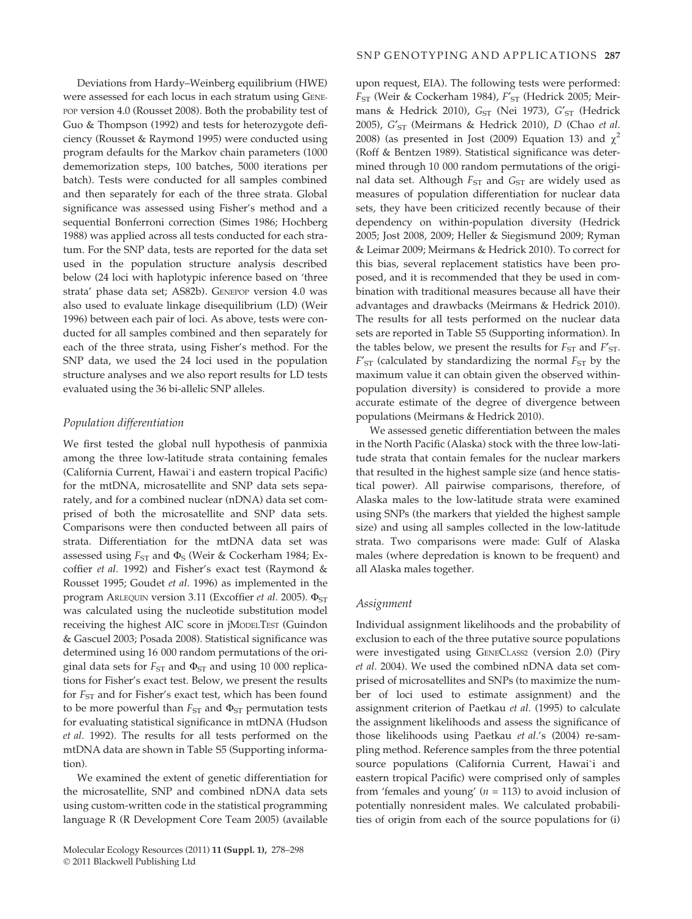Deviations from Hardy–Weinberg equilibrium (HWE) were assessed for each locus in each stratum using GENE-POP version 4.0 (Rousset 2008). Both the probability test of Guo & Thompson (1992) and tests for heterozygote deficiency (Rousset & Raymond 1995) were conducted using program defaults for the Markov chain parameters (1000 dememorization steps, 100 batches, 5000 iterations per batch). Tests were conducted for all samples combined and then separately for each of the three strata. Global significance was assessed using Fisher's method and a sequential Bonferroni correction (Simes 1986; Hochberg 1988) was applied across all tests conducted for each stratum. For the SNP data, tests are reported for the data set used in the population structure analysis described below (24 loci with haplotypic inference based on 'three strata' phase data set; AS82b). GENEPOP version 4.0 was also used to evaluate linkage disequilibrium (LD) (Weir 1996) between each pair of loci. As above, tests were conducted for all samples combined and then separately for each of the three strata, using Fisher's method. For the SNP data, we used the 24 loci used in the population structure analyses and we also report results for LD tests evaluated using the 36 bi-allelic SNP alleles.

## Population differentiation

We first tested the global null hypothesis of panmixia among the three low-latitude strata containing females (California Current, Hawai`i and eastern tropical Pacific) for the mtDNA, microsatellite and SNP data sets separately, and for a combined nuclear (nDNA) data set comprised of both the microsatellite and SNP data sets. Comparisons were then conducted between all pairs of strata. Differentiation for the mtDNA data set was assessed using  $F_{ST}$  and  $\Phi_S$  (Weir & Cockerham 1984; Excoffier et al. 1992) and Fisher's exact test (Raymond & Rousset 1995; Goudet et al. 1996) as implemented in the program ARLEQUIN version 3.11 (Excoffier et al. 2005).  $\Phi_{ST}$ was calculated using the nucleotide substitution model receiving the highest AIC score in jMODELTEST (Guindon & Gascuel 2003; Posada 2008). Statistical significance was determined using 16 000 random permutations of the original data sets for  $F_{ST}$  and  $\Phi_{ST}$  and using 10 000 replications for Fisher's exact test. Below, we present the results for  $F_{ST}$  and for Fisher's exact test, which has been found to be more powerful than  $F_{ST}$  and  $\Phi_{ST}$  permutation tests for evaluating statistical significance in mtDNA (Hudson et al. 1992). The results for all tests performed on the mtDNA data are shown in Table S5 (Supporting information).

We examined the extent of genetic differentiation for the microsatellite, SNP and combined nDNA data sets using custom-written code in the statistical programming language R (R Development Core Team 2005) (available

upon request, EIA). The following tests were performed:  $F<sub>ST</sub>$  (Weir & Cockerham 1984),  $F'<sub>ST</sub>$  (Hedrick 2005; Meirmans & Hedrick 2010),  $G_{ST}$  (Nei 1973),  $G'_{ST}$  (Hedrick 2005),  $G'_{ST}$  (Meirmans & Hedrick 2010), D (Chao et al. 2008) (as presented in Jost (2009) Equation 13) and  $\chi^2$ (Roff & Bentzen 1989). Statistical significance was determined through 10 000 random permutations of the original data set. Although  $F_{ST}$  and  $G_{ST}$  are widely used as measures of population differentiation for nuclear data sets, they have been criticized recently because of their dependency on within-population diversity (Hedrick 2005; Jost 2008, 2009; Heller & Siegismund 2009; Ryman & Leimar 2009; Meirmans & Hedrick 2010). To correct for this bias, several replacement statistics have been proposed, and it is recommended that they be used in combination with traditional measures because all have their advantages and drawbacks (Meirmans & Hedrick 2010). The results for all tests performed on the nuclear data sets are reported in Table S5 (Supporting information). In the tables below, we present the results for  $F_{ST}$  and  $F'_{ST}$ .  $F′_{ST}$  (calculated by standardizing the normal  $F_{ST}$  by the maximum value it can obtain given the observed withinpopulation diversity) is considered to provide a more accurate estimate of the degree of divergence between populations (Meirmans & Hedrick 2010).

We assessed genetic differentiation between the males in the North Pacific (Alaska) stock with the three low-latitude strata that contain females for the nuclear markers that resulted in the highest sample size (and hence statistical power). All pairwise comparisons, therefore, of Alaska males to the low-latitude strata were examined using SNPs (the markers that yielded the highest sample size) and using all samples collected in the low-latitude strata. Two comparisons were made: Gulf of Alaska males (where depredation is known to be frequent) and all Alaska males together.

#### Assignment

Individual assignment likelihoods and the probability of exclusion to each of the three putative source populations were investigated using GENECLASS2 (version 2.0) (Piry et al. 2004). We used the combined nDNA data set comprised of microsatellites and SNPs (to maximize the number of loci used to estimate assignment) and the assignment criterion of Paetkau et al. (1995) to calculate the assignment likelihoods and assess the significance of those likelihoods using Paetkau et al.'s (2004) re-sampling method. Reference samples from the three potential source populations (California Current, Hawai`i and eastern tropical Pacific) were comprised only of samples from 'females and young' ( $n = 113$ ) to avoid inclusion of potentially nonresident males. We calculated probabilities of origin from each of the source populations for (i)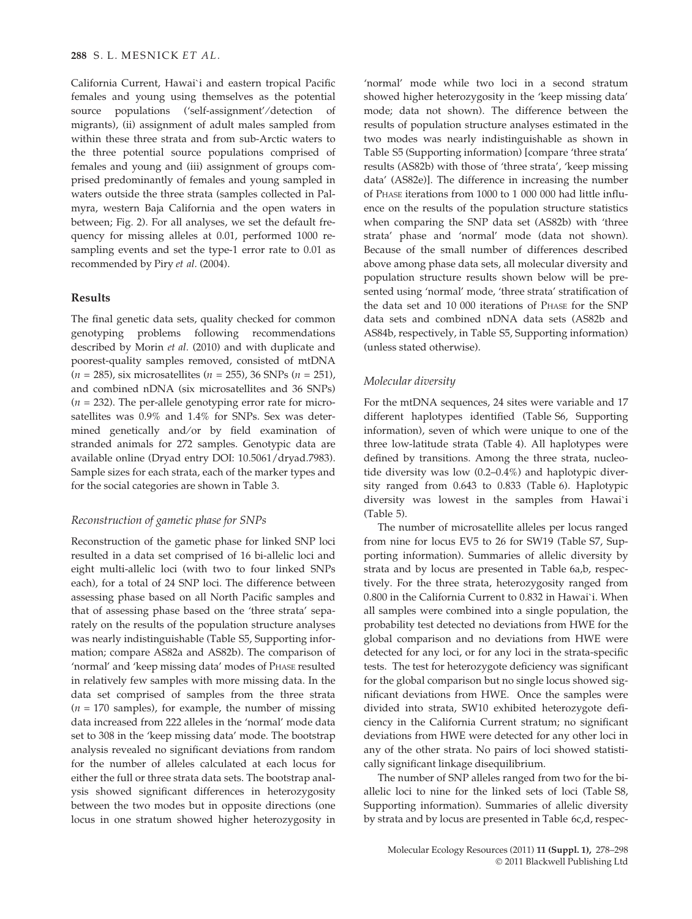California Current, Hawai`i and eastern tropical Pacific females and young using themselves as the potential source populations ('self-assignment'/detection of migrants), (ii) assignment of adult males sampled from within these three strata and from sub-Arctic waters to the three potential source populations comprised of females and young and (iii) assignment of groups comprised predominantly of females and young sampled in waters outside the three strata (samples collected in Palmyra, western Baja California and the open waters in between; Fig. 2). For all analyses, we set the default frequency for missing alleles at 0.01, performed 1000 resampling events and set the type-1 error rate to 0.01 as recommended by Piry et al. (2004).

## Results

The final genetic data sets, quality checked for common genotyping problems following recommendations described by Morin et al. (2010) and with duplicate and poorest-quality samples removed, consisted of mtDNA  $(n = 285)$ , six microsatellites  $(n = 255)$ , 36 SNPs  $(n = 251)$ , and combined nDNA (six microsatellites and 36 SNPs)  $(n = 232)$ . The per-allele genotyping error rate for microsatellites was 0.9% and 1.4% for SNPs. Sex was determined genetically and/or by field examination of stranded animals for 272 samples. Genotypic data are available online (Dryad entry DOI: 10.5061/dryad.7983). Sample sizes for each strata, each of the marker types and for the social categories are shown in Table 3.

## Reconstruction of gametic phase for SNPs

Reconstruction of the gametic phase for linked SNP loci resulted in a data set comprised of 16 bi-allelic loci and eight multi-allelic loci (with two to four linked SNPs each), for a total of 24 SNP loci. The difference between assessing phase based on all North Pacific samples and that of assessing phase based on the 'three strata' separately on the results of the population structure analyses was nearly indistinguishable (Table S5, Supporting information; compare AS82a and AS82b). The comparison of 'normal' and 'keep missing data' modes of PHASE resulted in relatively few samples with more missing data. In the data set comprised of samples from the three strata  $(n = 170 \text{ samples})$ , for example, the number of missing data increased from 222 alleles in the 'normal' mode data set to 308 in the 'keep missing data' mode. The bootstrap analysis revealed no significant deviations from random for the number of alleles calculated at each locus for either the full or three strata data sets. The bootstrap analysis showed significant differences in heterozygosity between the two modes but in opposite directions (one locus in one stratum showed higher heterozygosity in

'normal' mode while two loci in a second stratum showed higher heterozygosity in the 'keep missing data' mode; data not shown). The difference between the results of population structure analyses estimated in the two modes was nearly indistinguishable as shown in Table S5 (Supporting information) [compare 'three strata' results (AS82b) with those of 'three strata', 'keep missing data' (AS82e)]. The difference in increasing the number of PHASE iterations from 1000 to 1 000 000 had little influence on the results of the population structure statistics when comparing the SNP data set (AS82b) with 'three strata' phase and 'normal' mode (data not shown). Because of the small number of differences described above among phase data sets, all molecular diversity and population structure results shown below will be presented using 'normal' mode, 'three strata' stratification of the data set and 10 000 iterations of PHASE for the SNP data sets and combined nDNA data sets (AS82b and AS84b, respectively, in Table S5, Supporting information) (unless stated otherwise).

#### Molecular diversity

For the mtDNA sequences, 24 sites were variable and 17 different haplotypes identified (Table S6, Supporting information), seven of which were unique to one of the three low-latitude strata (Table 4). All haplotypes were defined by transitions. Among the three strata, nucleotide diversity was low (0.2–0.4%) and haplotypic diversity ranged from 0.643 to 0.833 (Table 6). Haplotypic diversity was lowest in the samples from Hawai`i (Table 5).

The number of microsatellite alleles per locus ranged from nine for locus EV5 to 26 for SW19 (Table S7, Supporting information). Summaries of allelic diversity by strata and by locus are presented in Table 6a,b, respectively. For the three strata, heterozygosity ranged from 0.800 in the California Current to 0.832 in Hawai`i. When all samples were combined into a single population, the probability test detected no deviations from HWE for the global comparison and no deviations from HWE were detected for any loci, or for any loci in the strata-specific tests. The test for heterozygote deficiency was significant for the global comparison but no single locus showed significant deviations from HWE. Once the samples were divided into strata, SW10 exhibited heterozygote deficiency in the California Current stratum; no significant deviations from HWE were detected for any other loci in any of the other strata. No pairs of loci showed statistically significant linkage disequilibrium.

The number of SNP alleles ranged from two for the biallelic loci to nine for the linked sets of loci (Table S8, Supporting information). Summaries of allelic diversity by strata and by locus are presented in Table 6c,d, respec-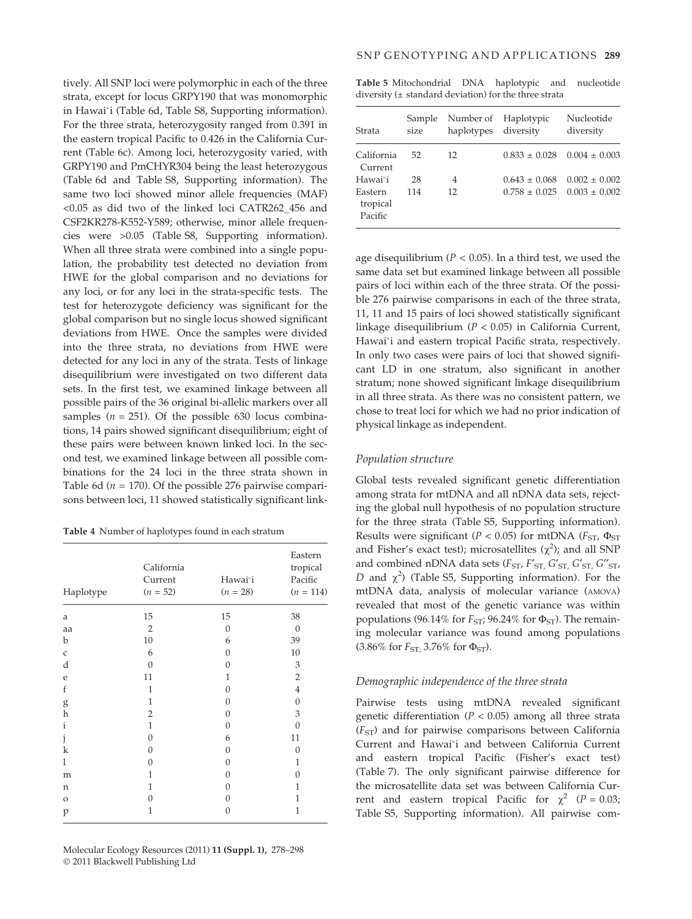tively. All SNP loci were polymorphic in each of the three strata, except for locus GRPY190 that was monomorphic in Hawai`i (Table 6d, Table S8, Supporting information). For the three strata, heterozygosity ranged from 0.391 in the eastern tropical Pacific to 0.426 in the California Current (Table 6c). Among loci, heterozygosity varied, with GRPY190 and PmCHYR304 being the least heterozygous (Table 6d and Table S8, Supporting information). The same two loci showed minor allele frequencies (MAF) <0.05 as did two of the linked loci CATR262\_456 and CSF2KR278-K552-Y589; otherwise, minor allele frequencies were >0.05 (Table S8, Supporting information). When all three strata were combined into a single population, the probability test detected no deviation from HWE for the global comparison and no deviations for any loci, or for any loci in the strata-specific tests. The test for heterozygote deficiency was significant for the global comparison but no single locus showed significant deviations from HWE. Once the samples were divided into the three strata, no deviations from HWE were detected for any loci in any of the strata. Tests of linkage disequilibrium were investigated on two different data sets. In the first test, we examined linkage between all possible pairs of the 36 original bi-allelic markers over all samples ( $n = 251$ ). Of the possible 630 locus combinations, 14 pairs showed significant disequilibrium; eight of these pairs were between known linked loci. In the second test, we examined linkage between all possible combinations for the 24 loci in the three strata shown in Table 6d ( $n = 170$ ). Of the possible 276 pairwise comparisons between loci, 11 showed statistically significant link-

| Table 4 Number of haplotypes found in each stratum |
|----------------------------------------------------|
|----------------------------------------------------|

| Haplotype    | California<br>Current<br>$(n = 52)$ | Hawai'i<br>$(n = 28)$ | Eastern<br>tropical<br>Pacific<br>$(n = 114)$ |
|--------------|-------------------------------------|-----------------------|-----------------------------------------------|
| a            | 15                                  | 15                    | 38                                            |
| aa           | $\overline{2}$                      | 0                     | $\theta$                                      |
| b            | 10                                  | 6                     | 39                                            |
| C            | 6                                   | 0                     | 10                                            |
| d            | $\Omega$                            | 0                     | 3                                             |
| e            | 11                                  | $\mathbf{1}$          | $\overline{2}$                                |
| f            | $\mathbf{1}$                        | $\Omega$              | 4                                             |
| g            | $\mathbf{1}$                        | 0                     | $\mathbf{0}$                                  |
| h            | $\overline{2}$                      | 0                     | 3                                             |
| $\mathbf{i}$ | $\mathbf{1}$                        | 0                     | $\Omega$                                      |
| j            | 0                                   | 6                     | 11                                            |
| $\mathbf k$  | $\theta$                            | 0                     | $\Omega$                                      |
| 1            | $\Omega$                            | $\Omega$              | 1                                             |
| m            | 1                                   | 0                     | 0                                             |
| n            | $\mathbf{1}$                        | 0                     | 1                                             |
| $\circ$      | $\Omega$                            | $\Omega$              | 1                                             |
| p            | 1                                   | $\Omega$              | 1                                             |

Table 5 Mitochondrial DNA haplotypic and nucleotide diversity ( $\pm$  standard deviation) for the three strata

| Strata                         | Sample<br>size | haplotypes diversity | Number of Haplotypic | Nucleotide<br>diversity             |
|--------------------------------|----------------|----------------------|----------------------|-------------------------------------|
| California<br>Current          | 52             | 12                   | $0.833 \pm 0.028$    | $0.004 \pm 0.003$                   |
| Hawai`i                        | 28             | 4                    | $0.643 \pm 0.068$    | $0.002 \pm 0.002$                   |
| Eastern<br>tropical<br>Pacific | 114            | 12                   |                      | $0.758 \pm 0.025$ $0.003 \pm 0.002$ |

age disequilibrium ( $P < 0.05$ ). In a third test, we used the same data set but examined linkage between all possible pairs of loci within each of the three strata. Of the possible 276 pairwise comparisons in each of the three strata, 11, 11 and 15 pairs of loci showed statistically significant linkage disequilibrium ( $P < 0.05$ ) in California Current, Hawai'i and eastern tropical Pacific strata, respectively. In only two cases were pairs of loci that showed significant LD in one stratum, also significant in another stratum; none showed significant linkage disequilibrium in all three strata. As there was no consistent pattern, we chose to treat loci for which we had no prior indication of physical linkage as independent.

#### Population structure

Global tests revealed significant genetic differentiation among strata for mtDNA and all nDNA data sets, rejecting the global null hypothesis of no population structure for the three strata (Table S5, Supporting information). Results were significant ( $P < 0.05$ ) for mtDNA ( $F_{ST}$ ,  $\Phi_{ST}$ and Fisher's exact test); microsatellites  $(\chi^2)$ ; and all SNP and combined nDNA data sets ( $F_{ST}$ ,  $F'_{ST}$ ,  $G'_{ST}$ ,  $G'_{ST}$ ,  $G''_{ST}$ , D and  $\chi^2$ ) (Table S5, Supporting information). For the mtDNA data, analysis of molecular variance (AMOVA) revealed that most of the genetic variance was within populations (96.14% for  $F_{ST}$ ; 96.24% for  $\Phi_{ST}$ ). The remaining molecular variance was found among populations (3.86% for  $F_{ST}$ ; 3.76% for  $\Phi_{ST}$ ).

#### Demographic independence of the three strata

Pairwise tests using mtDNA revealed significant genetic differentiation ( $P < 0.05$ ) among all three strata  $(F<sub>ST</sub>)$  and for pairwise comparisons between California Current and Hawai`i and between California Current and eastern tropical Pacific (Fisher's exact test) (Table 7). The only significant pairwise difference for the microsatellite data set was between California Current and eastern tropical Pacific for  $\chi^2$  (P = 0.03; Table S5, Supporting information). All pairwise com-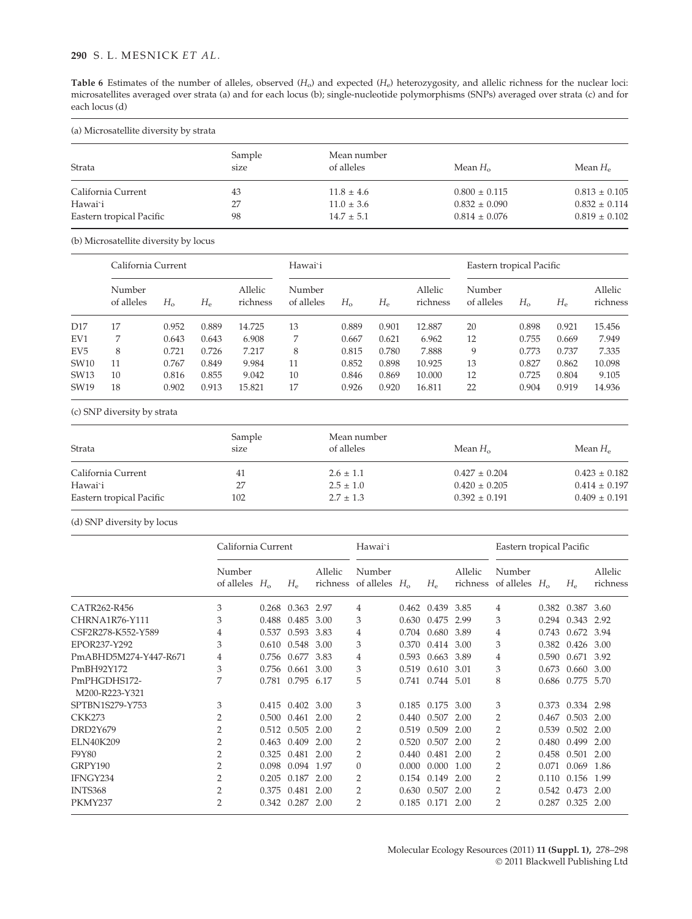Table 6 Estimates of the number of alleles, observed  $(H_o)$  and expected  $(H_e)$  heterozygosity, and allelic richness for the nuclear loci: microsatellites averaged over strata (a) and for each locus (b); single-nucleotide polymorphisms (SNPs) averaged over strata (c) and for each locus (d)

(a) Microsatellite diversity by strata

|                          | Sample | Mean number    |                   |                   |
|--------------------------|--------|----------------|-------------------|-------------------|
| Strata                   | size   | of alleles     | Mean $H_{\alpha}$ | Mean $H_{\rm e}$  |
| California Current       | 43     | $11.8 \pm 4.6$ | $0.800 \pm 0.115$ | $0.813 \pm 0.105$ |
| Hawai`i                  | 27     | $11.0 \pm 3.6$ | $0.832 \pm 0.090$ | $0.832 \pm 0.114$ |
| Eastern tropical Pacific | 98     | $14.7 \pm 5.1$ | $0.814 \pm 0.076$ | $0.819 \pm 0.102$ |

(b) Microsatellite diversity by locus

|                 | California Current   |             |             |                     | Hawai`i              |             |             |                     | Eastern tropical Pacific |             |             |                     |  |
|-----------------|----------------------|-------------|-------------|---------------------|----------------------|-------------|-------------|---------------------|--------------------------|-------------|-------------|---------------------|--|
|                 | Number<br>of alleles | $H_{\rm o}$ | $H_{\rm e}$ | Allelic<br>richness | Number<br>of alleles | $H_{\rm o}$ | $H_{\rm e}$ | Allelic<br>richness | Number<br>of alleles     | $H_{\rm o}$ | $H_{\rm e}$ | Allelic<br>richness |  |
| D <sub>17</sub> | 17                   | 0.952       | 0.889       | 14.725              | 13                   | 0.889       | 0.901       | 12.887              | 20                       | 0.898       | 0.921       | 15.456              |  |
| EV1             | 7                    | 0.643       | 0.643       | 6.908               | 7                    | 0.667       | 0.621       | 6.962               | 12                       | 0.755       | 0.669       | 7.949               |  |
| EV <sub>5</sub> | 8                    | 0.721       | 0.726       | 7.217               | 8                    | 0.815       | 0.780       | 7.888               | 9                        | 0.773       | 0.737       | 7.335               |  |
| <b>SW10</b>     | 11                   | 0.767       | 0.849       | 9.984               | 11                   | 0.852       | 0.898       | 10.925              | 13                       | 0.827       | 0.862       | 10.098              |  |
| <b>SW13</b>     | 10                   | 0.816       | 0.855       | 9.042               | 10                   | 0.846       | 0.869       | 10.000              | 12                       | 0.725       | 0.804       | 9.105               |  |
| SW19            | 18                   | 0.902       | 0.913       | 15.821              | 17                   | 0.926       | 0.920       | 16.811              | 22                       | 0.904       | 0.919       | 14.936              |  |

(c) SNP diversity by strata

| Strata                   | Sample<br>size | Mean number<br>of alleles | Mean $H_{\alpha}$ | Mean $H_{\rm e}$  |
|--------------------------|----------------|---------------------------|-------------------|-------------------|
| California Current       | 41             | $2.6 \pm 1.1$             | $0.427 \pm 0.204$ | $0.423 \pm 0.182$ |
| Hawai`i                  | 27             | $2.5 \pm 1.0$             | $0.420 \pm 0.205$ | $0.414 \pm 0.197$ |
| Eastern tropical Pacific | 102            | $2.7 \pm 1.3$             | $0.392 \pm 0.191$ | $0.409 \pm 0.191$ |

(d) SNP diversity by locus

|                                | California Current         |       |                 | Hawai`i |                                     |       |                  | Eastern tropical Pacific |                            |       |             |                     |
|--------------------------------|----------------------------|-------|-----------------|---------|-------------------------------------|-------|------------------|--------------------------|----------------------------|-------|-------------|---------------------|
|                                | Number<br>of alleles $H_0$ |       | $H_{\rm e}$     | Allelic | Number<br>richness of alleles $H_0$ |       | $H_{\rm e}$      | Allelic<br>richness      | Number<br>of alleles $H_0$ |       | $H_{\rm e}$ | Allelic<br>richness |
| CATR262-R456                   | 3                          | 0.268 | 0.363           | 2.97    | 4                                   | 0.462 | 0.439            | 3.85                     | 4                          | 0.382 | 0.387       | 3.60                |
| CHRNA1R76-Y111                 | 3                          | 0.488 | 0.485           | 3.00    | 3                                   | 0.630 | 0.475            | 2.99                     | 3                          | 0.294 | 0.343       | 2.92                |
| CSF2R278-K552-Y589             | 4                          | 0.537 | 0.593           | 3.83    | 4                                   | 0.704 | 0.680 3.89       |                          | 4                          | 0.743 | 0.672 3.94  |                     |
| EPOR237-Y292                   | 3                          | 0.610 | 0.548           | 3.00    | 3                                   | 0.370 | 0.414 3.00       |                          | 3                          | 0.382 | 0.426       | 3.00                |
| PmABHD5M274-Y447-R671          | 4                          | 0.756 | 0.677           | 3.83    | 4                                   | 0.593 | 0.663 3.89       |                          | 4                          | 0.590 | 0.671       | 3.92                |
| PmBH92Y172                     | 3                          | 0.756 | 0.661           | 3.00    | 3                                   | 0.519 | 0.610 3.01       |                          | 3                          | 0.673 | 0.660       | 3.00                |
| PmPHGDHS172-<br>M200-R223-Y321 | 7                          | 0.781 | 0.795           | 6.17    | 5                                   |       | 0.741 0.744 5.01 |                          | 8                          | 0.686 | 0.775       | 5.70                |
| SPTBN1S279-Y753                | 3                          |       | $0.415$ $0.402$ | 3.00    | 3                                   | 0.185 | 0.175            | 3.00                     | 3                          | 0.373 | 0.334       | 2.98                |
| <b>CKK273</b>                  | 2                          | 0.500 | 0.461           | 2.00    | $\overline{2}$                      | 0.440 | 0.507            | 2.00                     | 2                          | 0.467 | 0.503       | 2.00                |
| DRD2Y679                       | $\overline{2}$             | 0.512 | 0.505           | 2.00    | $\overline{2}$                      | 0.519 | 0.509            | 2.00                     | 2                          | 0.539 | 0.502       | 2.00                |
| <b>ELN40K209</b>               | 2                          | 0.463 | 0.409           | 2.00    | 2                                   | 0.520 | 0.507 2.00       |                          | 2                          | 0.480 | 0.499       | 2.00                |
| F9Y80                          | 2                          | 0.325 | 0.481           | 2.00    | $\overline{2}$                      | 0.440 | 0.481            | 2.00                     | 2                          | 0.458 | 0.501       | 2.00                |
| GRPY190                        | 2                          | 0.098 | 0.094           | 1.97    | $\Omega$                            | 0.000 | 0.000            | 1.00                     | 2                          | 0.071 | 0.069       | 1.86                |
| IFNGY234                       | 2                          | 0.205 | 0.187           | 2.00    | 2                                   |       | 0.154 0.149      | 2.00                     | 2                          | 0.110 | 0.156       | 1.99                |
| <b>INTS368</b>                 | $\overline{2}$             | 0.375 | 0.481           | 2.00    | $\overline{2}$                      | 0.630 | 0.507            | 2.00                     | 2                          | 0.542 | 0.473       | 2.00                |
| PKMY237                        | 2                          | 0.342 | 0.287           | 2.00    | 2                                   | 0.185 | 0.171            | 2.00                     | 2                          | 0.287 | 0.325       | 2.00                |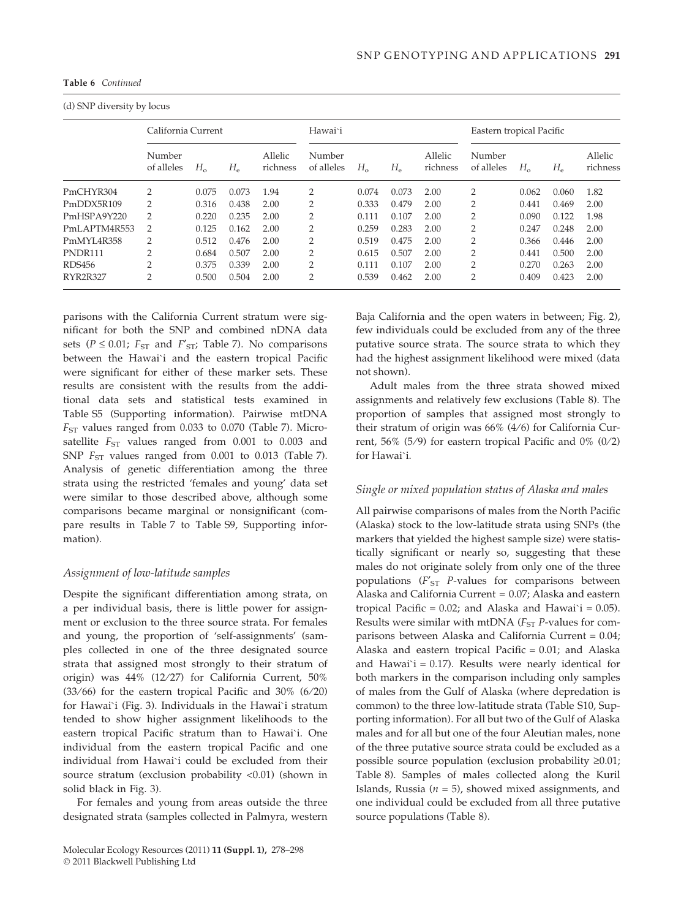| (d) SNP diversity by locus |  |
|----------------------------|--|
|----------------------------|--|

|               | California Current   |              |             | Hawai`i             |                      |              |            | Eastern tropical Pacific |                      |              |             |                     |
|---------------|----------------------|--------------|-------------|---------------------|----------------------|--------------|------------|--------------------------|----------------------|--------------|-------------|---------------------|
|               | Number<br>of alleles | $H_{\alpha}$ | $H_{\rm e}$ | Allelic<br>richness | Number<br>of alleles | $H_{\alpha}$ | $H_{\rho}$ | Allelic<br>richness      | Number<br>of alleles | $H_{\alpha}$ | $H_{\rm e}$ | Allelic<br>richness |
| PmCHYR304     | $\overline{2}$       | 0.075        | 0.073       | 1.94                | $\overline{2}$       | 0.074        | 0.073      | 2.00                     | $\overline{2}$       | 0.062        | 0.060       | 1.82                |
| PmDDX5R109    | 2                    | 0.316        | 0.438       | 2.00                | $\overline{2}$       | 0.333        | 0.479      | 2.00                     | 2                    | 0.441        | 0.469       | 2.00                |
| PmHSPA9Y220   | $\overline{2}$       | 0.220        | 0.235       | 2.00                | $\overline{2}$       | 0.111        | 0.107      | 2.00                     | $\overline{2}$       | 0.090        | 0.122       | 1.98                |
| PmLAPTM4R553  | 2                    | 0.125        | 0.162       | 2.00                | $\overline{2}$       | 0.259        | 0.283      | 2.00                     | 2                    | 0.247        | 0.248       | 2.00                |
| PmMYL4R358    | $\overline{2}$       | 0.512        | 0.476       | 2.00                | $\overline{2}$       | 0.519        | 0.475      | 2.00                     | 2                    | 0.366        | 0.446       | 2.00                |
| PNDR111       | 2                    | 0.684        | 0.507       | 2.00                | $\overline{2}$       | 0.615        | 0.507      | 2.00                     | 2                    | 0.441        | 0.500       | 2.00                |
| <b>RDS456</b> | 2                    | 0.375        | 0.339       | 2.00                | $\overline{2}$       | 0.111        | 0.107      | 2.00                     | 2                    | 0.270        | 0.263       | 2.00                |
| RYR2R327      | $\overline{2}$       | 0.500        | 0.504       | 2.00                | $\overline{2}$       | 0.539        | 0.462      | 2.00                     | $\overline{2}$       | 0.409        | 0.423       | 2.00                |

parisons with the California Current stratum were significant for both the SNP and combined nDNA data sets ( $P \le 0.01$ ;  $F_{ST}$  and  $F'_{ST}$ ; Table 7). No comparisons between the Hawai'i and the eastern tropical Pacific were significant for either of these marker sets. These results are consistent with the results from the additional data sets and statistical tests examined in Table S5 (Supporting information). Pairwise mtDNA  $F_{ST}$  values ranged from 0.033 to 0.070 (Table 7). Microsatellite  $F_{ST}$  values ranged from 0.001 to 0.003 and SNP  $F_{ST}$  values ranged from 0.001 to 0.013 (Table 7). Analysis of genetic differentiation among the three strata using the restricted 'females and young' data set were similar to those described above, although some comparisons became marginal or nonsignificant (compare results in Table 7 to Table S9, Supporting information).

## Assignment of low-latitude samples

Despite the significant differentiation among strata, on a per individual basis, there is little power for assignment or exclusion to the three source strata. For females and young, the proportion of 'self-assignments' (samples collected in one of the three designated source strata that assigned most strongly to their stratum of origin) was 44% (12/27) for California Current, 50% (33/66) for the eastern tropical Pacific and  $30\%$  (6/20) for Hawai`i (Fig. 3). Individuals in the Hawai`i stratum tended to show higher assignment likelihoods to the eastern tropical Pacific stratum than to Hawai`i. One individual from the eastern tropical Pacific and one individual from Hawai`i could be excluded from their source stratum (exclusion probability <0.01) (shown in solid black in Fig. 3).

For females and young from areas outside the three designated strata (samples collected in Palmyra, western

Baja California and the open waters in between; Fig. 2), few individuals could be excluded from any of the three putative source strata. The source strata to which they had the highest assignment likelihood were mixed (data not shown).

Adult males from the three strata showed mixed assignments and relatively few exclusions (Table 8). The proportion of samples that assigned most strongly to their stratum of origin was  $66\%$  (4/6) for California Current,  $56\%$  (5/9) for eastern tropical Pacific and  $0\%$  (0/2) for Hawai`i.

## Single or mixed population status of Alaska and males

All pairwise comparisons of males from the North Pacific (Alaska) stock to the low-latitude strata using SNPs (the markers that yielded the highest sample size) were statistically significant or nearly so, suggesting that these males do not originate solely from only one of the three populations  $(F<sub>ST</sub> P-values$  for comparisons between Alaska and California Current = 0.07; Alaska and eastern tropical Pacific =  $0.02$ ; and Alaska and Hawai`i =  $0.05$ ). Results were similar with mtDNA ( $F_{ST}$  P-values for comparisons between Alaska and California Current = 0.04; Alaska and eastern tropical Pacific  $= 0.01$ ; and Alaska and Hawai'i =  $0.17$ ). Results were nearly identical for both markers in the comparison including only samples of males from the Gulf of Alaska (where depredation is common) to the three low-latitude strata (Table S10, Supporting information). For all but two of the Gulf of Alaska males and for all but one of the four Aleutian males, none of the three putative source strata could be excluded as a possible source population (exclusion probability  $\geq 0.01$ ; Table 8). Samples of males collected along the Kuril Islands, Russia ( $n = 5$ ), showed mixed assignments, and one individual could be excluded from all three putative source populations (Table 8).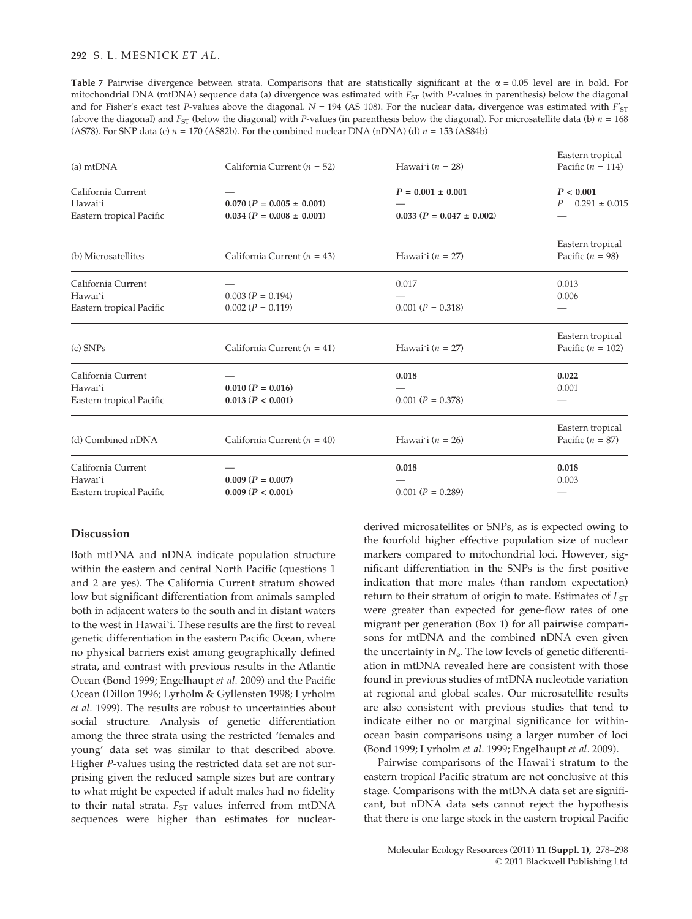Table 7 Pairwise divergence between strata. Comparisons that are statistically significant at the  $\alpha = 0.05$  level are in bold. For mitochondrial DNA (mtDNA) sequence data (a) divergence was estimated with  $F_{ST}$  (with P-values in parenthesis) below the diagonal and for Fisher's exact test P-values above the diagonal.  $N = 194$  (AS 108). For the nuclear data, divergence was estimated with  $F_{ST}$ (above the diagonal) and  $F_{ST}$  (below the diagonal) with P-values (in parenthesis below the diagonal). For microsatellite data (b)  $n = 168$ (AS78). For SNP data (c)  $n = 170$  (AS82b). For the combined nuclear DNA (nDNA) (d)  $n = 153$  (AS84b)

| $(a)$ mtDNA                                               | California Current ( $n = 52$ )                                | Hawai'i $(n = 28)$                                         | Eastern tropical<br>Pacific ( $n = 114$ )<br>P < 0.001<br>$P = 0.291 \pm 0.015$ |  |
|-----------------------------------------------------------|----------------------------------------------------------------|------------------------------------------------------------|---------------------------------------------------------------------------------|--|
| California Current<br>Hawai`i<br>Eastern tropical Pacific | $0.070 (P = 0.005 \pm 0.001)$<br>$0.034 (P = 0.008 \pm 0.001)$ | $P = 0.001 \pm 0.001$<br>$0.033$ ( $P = 0.047 \pm 0.002$ ) |                                                                                 |  |
| (b) Microsatellites                                       | California Current ( $n = 43$ )                                | Hawai'i $(n = 27)$                                         | Eastern tropical<br>Pacific ( $n = 98$ )                                        |  |
| California Current<br>Hawai`i<br>Eastern tropical Pacific | $0.003 (P = 0.194)$<br>$0.002 (P = 0.119)$                     | 0.017<br>$0.001 (P = 0.318)$                               | 0.013<br>0.006                                                                  |  |
| $(c)$ SNPs                                                | California Current ( $n = 41$ )                                |                                                            | Eastern tropical<br>Pacific ( $n = 102$ )                                       |  |
| California Current<br>Hawai`i<br>Eastern tropical Pacific | $0.010 (P = 0.016)$<br>0.013 (P < 0.001)                       | 0.018<br>$0.001 (P = 0.378)$                               | 0.022<br>0.001                                                                  |  |
| (d) Combined nDNA                                         | California Current ( $n = 40$ )                                | Hawai'i $(n = 26)$                                         | Eastern tropical<br>Pacific ( $n = 87$ )                                        |  |
| California Current<br>Hawai`i<br>Eastern tropical Pacific | $0.009 (P = 0.007)$<br>0.009 (P < 0.001)                       | 0.018<br>$0.001 (P = 0.289)$                               | 0.018<br>0.003                                                                  |  |

## **Discussion**

Both mtDNA and nDNA indicate population structure within the eastern and central North Pacific (questions 1 and 2 are yes). The California Current stratum showed low but significant differentiation from animals sampled both in adjacent waters to the south and in distant waters to the west in Hawai`i. These results are the first to reveal genetic differentiation in the eastern Pacific Ocean, where no physical barriers exist among geographically defined strata, and contrast with previous results in the Atlantic Ocean (Bond 1999; Engelhaupt et al. 2009) and the Pacific Ocean (Dillon 1996; Lyrholm & Gyllensten 1998; Lyrholm et al. 1999). The results are robust to uncertainties about social structure. Analysis of genetic differentiation among the three strata using the restricted 'females and young' data set was similar to that described above. Higher P-values using the restricted data set are not surprising given the reduced sample sizes but are contrary to what might be expected if adult males had no fidelity to their natal strata.  $F_{ST}$  values inferred from mtDNA sequences were higher than estimates for nuclearderived microsatellites or SNPs, as is expected owing to the fourfold higher effective population size of nuclear markers compared to mitochondrial loci. However, significant differentiation in the SNPs is the first positive indication that more males (than random expectation) return to their stratum of origin to mate. Estimates of  $F_{ST}$ were greater than expected for gene-flow rates of one migrant per generation (Box 1) for all pairwise comparisons for mtDNA and the combined nDNA even given the uncertainty in  $N_e$ . The low levels of genetic differentiation in mtDNA revealed here are consistent with those found in previous studies of mtDNA nucleotide variation at regional and global scales. Our microsatellite results are also consistent with previous studies that tend to indicate either no or marginal significance for withinocean basin comparisons using a larger number of loci (Bond 1999; Lyrholm et al. 1999; Engelhaupt et al. 2009).

Pairwise comparisons of the Hawai`i stratum to the eastern tropical Pacific stratum are not conclusive at this stage. Comparisons with the mtDNA data set are significant, but nDNA data sets cannot reject the hypothesis that there is one large stock in the eastern tropical Pacific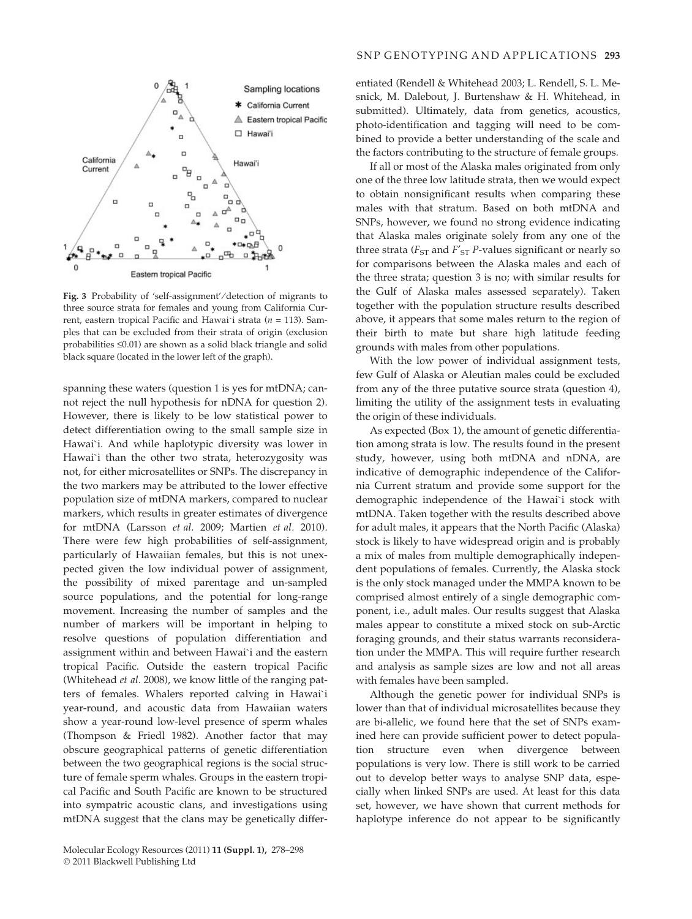

Fig. 3 Probability of 'self-assignment' ⁄ detection of migrants to three source strata for females and young from California Current, eastern tropical Pacific and Hawai`i strata ( $n = 113$ ). Samples that can be excluded from their strata of origin (exclusion probabilities  $\leq 0.01$ ) are shown as a solid black triangle and solid black square (located in the lower left of the graph).

spanning these waters (question 1 is yes for mtDNA; cannot reject the null hypothesis for nDNA for question 2). However, there is likely to be low statistical power to detect differentiation owing to the small sample size in Hawai'i. And while haplotypic diversity was lower in Hawai'i than the other two strata, heterozygosity was not, for either microsatellites or SNPs. The discrepancy in the two markers may be attributed to the lower effective population size of mtDNA markers, compared to nuclear markers, which results in greater estimates of divergence for mtDNA (Larsson et al. 2009; Martien et al. 2010). There were few high probabilities of self-assignment, particularly of Hawaiian females, but this is not unexpected given the low individual power of assignment, the possibility of mixed parentage and un-sampled source populations, and the potential for long-range movement. Increasing the number of samples and the number of markers will be important in helping to resolve questions of population differentiation and assignment within and between Hawai`i and the eastern tropical Pacific. Outside the eastern tropical Pacific (Whitehead et al. 2008), we know little of the ranging patters of females. Whalers reported calving in Hawai`i year-round, and acoustic data from Hawaiian waters show a year-round low-level presence of sperm whales (Thompson & Friedl 1982). Another factor that may obscure geographical patterns of genetic differentiation between the two geographical regions is the social structure of female sperm whales. Groups in the eastern tropical Pacific and South Pacific are known to be structured into sympatric acoustic clans, and investigations using mtDNA suggest that the clans may be genetically differentiated (Rendell & Whitehead 2003; L. Rendell, S. L. Mesnick, M. Dalebout, J. Burtenshaw & H. Whitehead, in submitted). Ultimately, data from genetics, acoustics, photo-identification and tagging will need to be combined to provide a better understanding of the scale and the factors contributing to the structure of female groups.

If all or most of the Alaska males originated from only one of the three low latitude strata, then we would expect to obtain nonsignificant results when comparing these males with that stratum. Based on both mtDNA and SNPs, however, we found no strong evidence indicating that Alaska males originate solely from any one of the three strata ( $F_{ST}$  and  $F'_{ST}$  P-values significant or nearly so for comparisons between the Alaska males and each of the three strata; question 3 is no; with similar results for the Gulf of Alaska males assessed separately). Taken together with the population structure results described above, it appears that some males return to the region of their birth to mate but share high latitude feeding grounds with males from other populations.

With the low power of individual assignment tests, few Gulf of Alaska or Aleutian males could be excluded from any of the three putative source strata (question 4), limiting the utility of the assignment tests in evaluating the origin of these individuals.

As expected (Box 1), the amount of genetic differentiation among strata is low. The results found in the present study, however, using both mtDNA and nDNA, are indicative of demographic independence of the California Current stratum and provide some support for the demographic independence of the Hawai`i stock with mtDNA. Taken together with the results described above for adult males, it appears that the North Pacific (Alaska) stock is likely to have widespread origin and is probably a mix of males from multiple demographically independent populations of females. Currently, the Alaska stock is the only stock managed under the MMPA known to be comprised almost entirely of a single demographic component, i.e., adult males. Our results suggest that Alaska males appear to constitute a mixed stock on sub-Arctic foraging grounds, and their status warrants reconsideration under the MMPA. This will require further research and analysis as sample sizes are low and not all areas with females have been sampled.

Although the genetic power for individual SNPs is lower than that of individual microsatellites because they are bi-allelic, we found here that the set of SNPs examined here can provide sufficient power to detect population structure even when divergence between populations is very low. There is still work to be carried out to develop better ways to analyse SNP data, especially when linked SNPs are used. At least for this data set, however, we have shown that current methods for haplotype inference do not appear to be significantly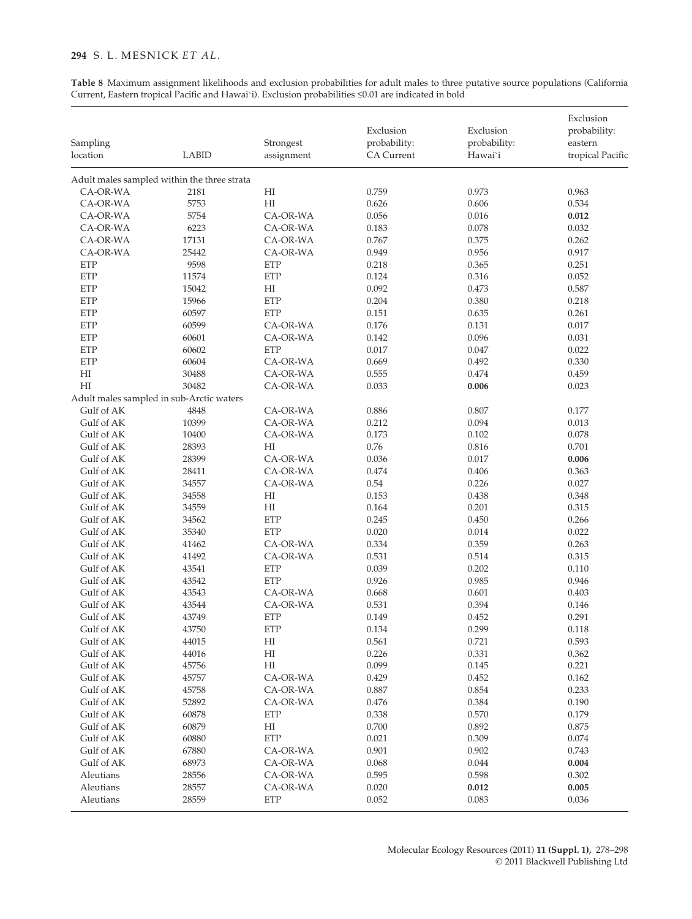Table 8 Maximum assignment likelihoods and exclusion probabilities for adult males to three putative source populations (California Current, Eastern tropical Pacific and Hawai`i). Exclusion probabilities £0.01 are indicated in bold

| Sampling<br>location | <b>LABID</b>                                | Strongest<br>assignment    | Exclusion<br>probability:<br>CA Current | Exclusion<br>probability:<br>Hawai`i | Exclusion<br>probability:<br>eastern<br>tropical Pacific |
|----------------------|---------------------------------------------|----------------------------|-----------------------------------------|--------------------------------------|----------------------------------------------------------|
|                      | Adult males sampled within the three strata |                            |                                         |                                      |                                                          |
| CA-OR-WA             | 2181                                        | H <sub>I</sub>             | 0.759                                   | 0.973                                | 0.963                                                    |
| CA-OR-WA             | 5753                                        | H <sub>I</sub>             | 0.626                                   | 0.606                                | 0.534                                                    |
| CA-OR-WA             | 5754                                        | CA-OR-WA                   | 0.056                                   | 0.016                                | 0.012                                                    |
| CA-OR-WA             | 6223                                        | CA-OR-WA                   | 0.183                                   | 0.078                                | 0.032                                                    |
| CA-OR-WA             | 17131                                       | CA-OR-WA                   | 0.767                                   | 0.375                                | 0.262                                                    |
| CA-OR-WA             | 25442                                       | CA-OR-WA                   | 0.949                                   | 0.956                                | 0.917                                                    |
| ETP                  | 9598                                        | ETP                        | 0.218                                   | 0.365                                | 0.251                                                    |
| ETP                  | 11574                                       | ETP                        | 0.124                                   | 0.316                                | 0.052                                                    |
| ETP                  | 15042                                       | HI                         | 0.092                                   | 0.473                                | 0.587                                                    |
| ETP                  | 15966                                       | ETP                        | 0.204                                   | 0.380                                | 0.218                                                    |
| ETP                  | 60597                                       | ETP                        | 0.151                                   | 0.635                                | 0.261                                                    |
| ETP                  | 60599                                       | CA-OR-WA                   | 0.176                                   | 0.131                                | 0.017                                                    |
| ETP                  | 60601                                       | CA-OR-WA                   | 0.142                                   | 0.096                                | 0.031                                                    |
| ETP                  | 60602                                       | ETP                        | 0.017                                   | 0.047                                | 0.022                                                    |
| ETP                  | 60604                                       | CA-OR-WA                   | 0.669                                   | 0.492                                | 0.330                                                    |
| H <sub>I</sub>       | 30488                                       | CA-OR-WA                   | 0.555                                   | 0.474                                | 0.459                                                    |
| H <sub>I</sub>       | 30482                                       | CA-OR-WA                   | 0.033                                   | 0.006                                | 0.023                                                    |
|                      | Adult males sampled in sub-Arctic waters    |                            |                                         |                                      |                                                          |
| Gulf of AK           | 4848                                        | CA-OR-WA                   | 0.886                                   | 0.807                                | 0.177                                                    |
| Gulf of AK           | 10399                                       | CA-OR-WA                   | 0.212                                   | 0.094                                | 0.013                                                    |
| Gulf of AK           | 10400                                       | CA-OR-WA                   | 0.173                                   | 0.102                                | 0.078                                                    |
| Gulf of AK           | 28393                                       | H                          | 0.76                                    | 0.816                                | 0.701                                                    |
| Gulf of AK           | 28399                                       | CA-OR-WA                   | 0.036                                   | 0.017                                | 0.006                                                    |
| Gulf of AK           | 28411                                       | CA-OR-WA                   | 0.474                                   | 0.406                                | 0.363                                                    |
| Gulf of AK           | 34557                                       | CA-OR-WA                   | 0.54                                    | 0.226                                | 0.027                                                    |
| Gulf of AK           | 34558                                       | H                          | 0.153                                   | 0.438                                | 0.348                                                    |
| Gulf of AK           | 34559                                       | H                          | 0.164                                   | 0.201                                | 0.315                                                    |
| Gulf of AK           | 34562                                       | <b>ETP</b>                 | 0.245                                   | 0.450                                | 0.266                                                    |
| Gulf of AK           | 35340                                       | ETP                        | 0.020                                   | 0.014                                | 0.022                                                    |
| Gulf of AK           | 41462                                       | CA-OR-WA                   | 0.334                                   | 0.359                                | 0.263                                                    |
| Gulf of AK           | 41492                                       | CA-OR-WA                   | 0.531                                   | 0.514                                | 0.315                                                    |
| Gulf of AK           | 43541                                       | ETP                        | 0.039                                   | 0.202                                | 0.110                                                    |
| Gulf of AK           | 43542                                       | ETP                        | 0.926                                   | 0.985                                | 0.946                                                    |
| Gulf of AK           | 43543                                       | CA-OR-WA                   | 0.668                                   | 0.601                                | 0.403                                                    |
| Gulf of AK           | 43544                                       | CA-OR-WA                   | 0.531                                   | 0.394                                | 0.146                                                    |
| Gulf of AK           | 43749                                       | ETP                        | 0.149                                   | 0.452                                | 0.291                                                    |
| Gulf of AK           | 43750                                       | ETP                        | 0.134                                   | 0.299                                | 0.118                                                    |
| Gulf of AK           | 44015                                       | ΗΙ                         | 0.561                                   | 0.721                                | 0.593                                                    |
| Gulf of AK           | 44016                                       | H <sub>I</sub>             | 0.226                                   | 0.331                                | 0.362                                                    |
| Gulf of AK           | 45756                                       | $\mathop{\rm HI}\nolimits$ | 0.099                                   | 0.145                                | 0.221                                                    |
| Gulf of AK           | 45757                                       | CA-OR-WA                   | 0.429                                   | 0.452                                | 0.162                                                    |
| Gulf of AK           | 45758                                       | CA-OR-WA                   | 0.887                                   | 0.854                                | 0.233                                                    |
| Gulf of AK           | 52892                                       | CA-OR-WA                   | 0.476                                   | 0.384                                | 0.190                                                    |
| Gulf of AK           | 60878                                       | <b>ETP</b>                 | 0.338                                   | 0.570                                | 0.179                                                    |
| Gulf of AK           | 60879                                       | H                          | 0.700                                   | 0.892                                | 0.875                                                    |
| Gulf of AK           | 60880                                       | <b>ETP</b>                 | 0.021                                   | 0.309                                | 0.074                                                    |
| Gulf of AK           | 67880                                       | CA-OR-WA                   | 0.901                                   | 0.902                                | 0.743                                                    |
| Gulf of AK           | 68973                                       | CA-OR-WA                   | 0.068                                   | 0.044                                | 0.004                                                    |
| Aleutians            | 28556                                       | CA-OR-WA                   | 0.595                                   | 0.598                                | 0.302                                                    |
| Aleutians            | 28557                                       | CA-OR-WA                   | 0.020                                   | 0.012                                | 0.005                                                    |
| Aleutians            | 28559                                       | <b>ETP</b>                 | 0.052                                   | 0.083                                | 0.036                                                    |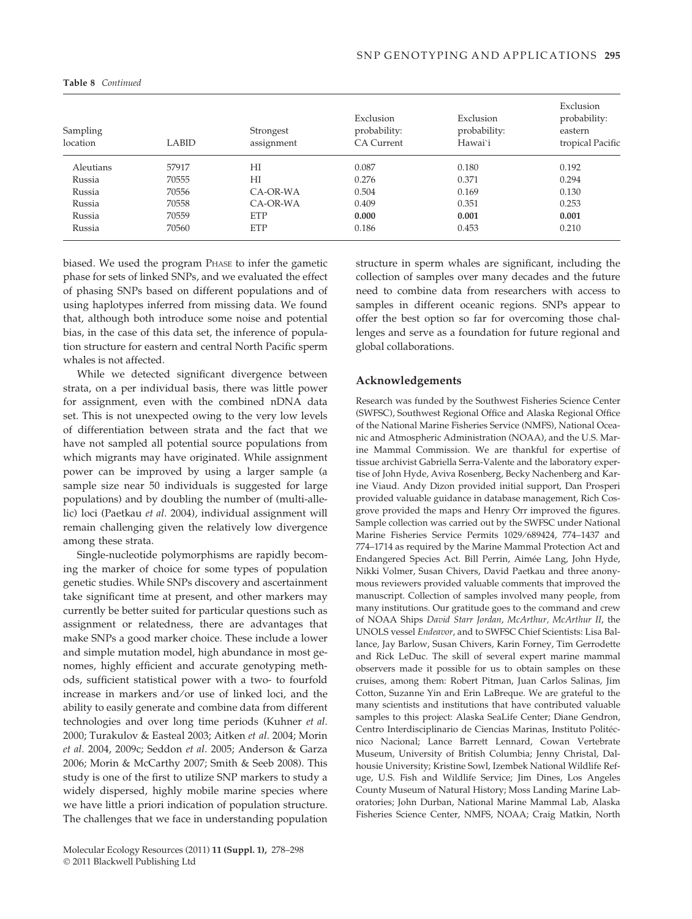| Sampling<br>location | LABID | Strongest<br>assignment | Exclusion<br>probability:<br><b>CA Current</b> | Exclusion<br>probability:<br>Hawai`i | Exclusion<br>probability:<br>eastern<br>tropical Pacific |
|----------------------|-------|-------------------------|------------------------------------------------|--------------------------------------|----------------------------------------------------------|
| Aleutians            | 57917 | НI                      | 0.087                                          | 0.180                                | 0.192                                                    |
| Russia               | 70555 | НI                      | 0.276                                          | 0.371                                | 0.294                                                    |
| Russia               | 70556 | CA-OR-WA                | 0.504                                          | 0.169                                | 0.130                                                    |
| Russia               | 70558 | CA-OR-WA                | 0.409                                          | 0.351                                | 0.253                                                    |
| Russia               | 70559 | <b>ETP</b>              | 0.000                                          | 0.001                                | 0.001                                                    |
| Russia               | 70560 | <b>ETP</b>              | 0.186                                          | 0.453                                | 0.210                                                    |

biased. We used the program PHASE to infer the gametic phase for sets of linked SNPs, and we evaluated the effect of phasing SNPs based on different populations and of using haplotypes inferred from missing data. We found that, although both introduce some noise and potential bias, in the case of this data set, the inference of population structure for eastern and central North Pacific sperm whales is not affected.

While we detected significant divergence between strata, on a per individual basis, there was little power for assignment, even with the combined nDNA data set. This is not unexpected owing to the very low levels of differentiation between strata and the fact that we have not sampled all potential source populations from which migrants may have originated. While assignment power can be improved by using a larger sample (a sample size near 50 individuals is suggested for large populations) and by doubling the number of (multi-allelic) loci (Paetkau et al. 2004), individual assignment will remain challenging given the relatively low divergence among these strata.

Single-nucleotide polymorphisms are rapidly becoming the marker of choice for some types of population genetic studies. While SNPs discovery and ascertainment take significant time at present, and other markers may currently be better suited for particular questions such as assignment or relatedness, there are advantages that make SNPs a good marker choice. These include a lower and simple mutation model, high abundance in most genomes, highly efficient and accurate genotyping methods, sufficient statistical power with a two- to fourfold increase in markers and/or use of linked loci, and the ability to easily generate and combine data from different technologies and over long time periods (Kuhner et al. 2000; Turakulov & Easteal 2003; Aitken et al. 2004; Morin et al. 2004, 2009c; Seddon et al. 2005; Anderson & Garza 2006; Morin & McCarthy 2007; Smith & Seeb 2008). This study is one of the first to utilize SNP markers to study a widely dispersed, highly mobile marine species where we have little a priori indication of population structure. The challenges that we face in understanding population

structure in sperm whales are significant, including the collection of samples over many decades and the future need to combine data from researchers with access to samples in different oceanic regions. SNPs appear to offer the best option so far for overcoming those challenges and serve as a foundation for future regional and global collaborations.

# Acknowledgements

Research was funded by the Southwest Fisheries Science Center (SWFSC), Southwest Regional Office and Alaska Regional Office of the National Marine Fisheries Service (NMFS), National Oceanic and Atmospheric Administration (NOAA), and the U.S. Marine Mammal Commission. We are thankful for expertise of tissue archivist Gabriella Serra-Valente and the laboratory expertise of John Hyde, Aviva Rosenberg, Becky Nachenberg and Karine Viaud. Andy Dizon provided initial support, Dan Prosperi provided valuable guidance in database management, Rich Cosgrove provided the maps and Henry Orr improved the figures. Sample collection was carried out by the SWFSC under National Marine Fisheries Service Permits 1029/689424, 774–1437 and 774–1714 as required by the Marine Mammal Protection Act and Endangered Species Act. Bill Perrin, Aimée Lang, John Hyde, Nikki Volmer, Susan Chivers, David Paetkau and three anonymous reviewers provided valuable comments that improved the manuscript. Collection of samples involved many people, from many institutions. Our gratitude goes to the command and crew of NOAA Ships David Starr Jordan, McArthur, McArthur II, the UNOLS vessel Endeavor, and to SWFSC Chief Scientists: Lisa Ballance, Jay Barlow, Susan Chivers, Karin Forney, Tim Gerrodette and Rick LeDuc. The skill of several expert marine mammal observers made it possible for us to obtain samples on these cruises, among them: Robert Pitman, Juan Carlos Salinas, Jim Cotton, Suzanne Yin and Erin LaBreque. We are grateful to the many scientists and institutions that have contributed valuable samples to this project: Alaska SeaLife Center; Diane Gendron, Centro Interdisciplinario de Ciencias Marinas, Instituto Politécnico Nacional; Lance Barrett Lennard, Cowan Vertebrate Museum, University of British Columbia; Jenny Christal, Dalhousie University; Kristine Sowl, Izembek National Wildlife Refuge, U.S. Fish and Wildlife Service; Jim Dines, Los Angeles County Museum of Natural History; Moss Landing Marine Laboratories; John Durban, National Marine Mammal Lab, Alaska Fisheries Science Center, NMFS, NOAA; Craig Matkin, North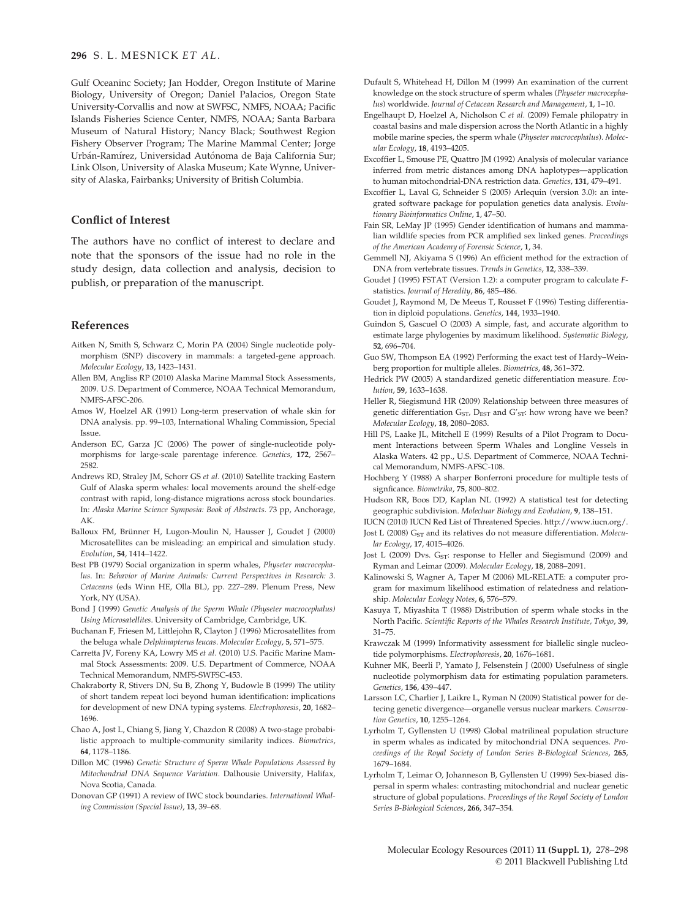Gulf Oceaninc Society; Jan Hodder, Oregon Institute of Marine Biology, University of Oregon; Daniel Palacios, Oregon State University-Corvallis and now at SWFSC, NMFS, NOAA; Pacific Islands Fisheries Science Center, NMFS, NOAA; Santa Barbara Museum of Natural History; Nancy Black; Southwest Region Fishery Observer Program; The Marine Mammal Center; Jorge Urbán-Ramírez, Universidad Autónoma de Baja California Sur; Link Olson, University of Alaska Museum; Kate Wynne, University of Alaska, Fairbanks; University of British Columbia.

## Conflict of Interest

The authors have no conflict of interest to declare and note that the sponsors of the issue had no role in the study design, data collection and analysis, decision to publish, or preparation of the manuscript.

#### References

- Aitken N, Smith S, Schwarz C, Morin PA (2004) Single nucleotide polymorphism (SNP) discovery in mammals: a targeted-gene approach. Molecular Ecology, 13, 1423–1431.
- Allen BM, Angliss RP (2010) Alaska Marine Mammal Stock Assessments, 2009. U.S. Department of Commerce, NOAA Technical Memorandum, NMFS-AFSC-206.
- Amos W, Hoelzel AR (1991) Long-term preservation of whale skin for DNA analysis. pp. 99–103, International Whaling Commission, Special Issue.
- Anderson EC, Garza JC (2006) The power of single-nucleotide polymorphisms for large-scale parentage inference. Genetics, 172, 2567– 2582.
- Andrews RD, Straley JM, Schorr GS et al. (2010) Satellite tracking Eastern Gulf of Alaska sperm whales: local movements around the shelf-edge contrast with rapid, long-distance migrations across stock boundaries. In: Alaska Marine Science Symposia: Book of Abstracts. 73 pp, Anchorage, AK.
- Balloux FM, Brünner H, Lugon-Moulin N, Hausser J, Goudet J (2000) Microsatellites can be misleading: an empirical and simulation study. Evolution, 54, 1414–1422.
- Best PB (1979) Social organization in sperm whales, Physeter macrocephalus. In: Behavior of Marine Animals: Current Perspectives in Research: 3. Cetaceans (eds Winn HE, Olla BL), pp. 227–289. Plenum Press, New York, NY (USA).
- Bond J (1999) Genetic Analysis of the Sperm Whale (Physeter macrocephalus) Using Microsatellites. University of Cambridge, Cambridge, UK.
- Buchanan F, Friesen M, Littlejohn R, Clayton J (1996) Microsatellites from the beluga whale Delphinapterus leucas. Molecular Ecology, 5, 571–575.
- Carretta JV, Foreny KA, Lowry MS et al. (2010) U.S. Pacific Marine Mammal Stock Assessments: 2009. U.S. Department of Commerce, NOAA Technical Memorandum, NMFS-SWFSC-453.
- Chakraborty R, Stivers DN, Su B, Zhong Y, Budowle B (1999) The utility of short tandem repeat loci beyond human identification: implications for development of new DNA typing systems. Electrophoresis, 20, 1682– 1696.
- Chao A, Jost L, Chiang S, Jiang Y, Chazdon R (2008) A two-stage probabilistic approach to multiple-community similarity indices. Biometrics, 64, 1178–1186.
- Dillon MC (1996) Genetic Structure of Sperm Whale Populations Assessed by Mitochondrial DNA Sequence Variation. Dalhousie University, Halifax, Nova Scotia, Canada.
- Donovan GP (1991) A review of IWC stock boundaries. International Whaling Commission (Special Issue), 13, 39–68.
- Dufault S, Whitehead H, Dillon M (1999) An examination of the current knowledge on the stock structure of sperm whales (Physeter macrocephalus) worldwide. Journal of Cetacean Research and Management, 1, 1–10.
- Engelhaupt D, Hoelzel A, Nicholson C et al. (2009) Female philopatry in coastal basins and male dispersion across the North Atlantic in a highly mobile marine species, the sperm whale (Physeter macrocephalus). Molecular Ecology, 18, 4193–4205.
- Excoffier L, Smouse PE, Quattro JM (1992) Analysis of molecular variance inferred from metric distances among DNA haplotypes—application to human mitochondrial-DNA restriction data. Genetics, 131, 479–491.
- Excoffier L, Laval G, Schneider S (2005) Arlequin (version 3.0): an integrated software package for population genetics data analysis. Evolutionary Bioinformatics Online, 1, 47–50.
- Fain SR, LeMay JP (1995) Gender identification of humans and mammalian wildlife species from PCR amplified sex linked genes. Proceedings of the American Academy of Forensic Science, 1, 34.
- Gemmell NJ, Akiyama S (1996) An efficient method for the extraction of DNA from vertebrate tissues. Trends in Genetics, 12, 338–339.
- Goudet J (1995) FSTAT (Version 1.2): a computer program to calculate Fstatistics. Journal of Heredity, 86, 485–486.
- Goudet J, Raymond M, De Meeus T, Rousset F (1996) Testing differentiation in diploid populations. Genetics, 144, 1933–1940.
- Guindon S, Gascuel O (2003) A simple, fast, and accurate algorithm to estimate large phylogenies by maximum likelihood. Systematic Biology, 52, 696–704.
- Guo SW, Thompson EA (1992) Performing the exact test of Hardy–Weinberg proportion for multiple alleles. Biometrics, 48, 361–372.
- Hedrick PW (2005) A standardized genetic differentiation measure. Evolution, 59, 1633–1638.
- Heller R, Siegismund HR (2009) Relationship between three measures of genetic differentiation  $GSTST}$ ,  $D_{EST}$  and  $G'_{ST}$ : how wrong have we been? Molecular Ecology, 18, 2080–2083.
- Hill PS, Laake JL, Mitchell E (1999) Results of a Pilot Program to Document Interactions between Sperm Whales and Longline Vessels in Alaska Waters. 42 pp., U.S. Department of Commerce, NOAA Technical Memorandum, NMFS-AFSC-108.
- Hochberg Y (1988) A sharper Bonferroni procedure for multiple tests of signficance. Biometrika, 75, 800–802.
- Hudson RR, Boos DD, Kaplan NL (1992) A statistical test for detecting geographic subdivision. Molecluar Biology and Evolution, 9, 138–151.
- IUCN (2010) IUCN Red List of Threatened Species. http://www.iucn.org/.
- Jost L (2008) G<sub>ST</sub> and its relatives do not measure differentiation. Molecular Ecology, 17, 4015–4026.
- Jost L (2009) Dvs. G<sub>ST</sub>: response to Heller and Siegismund (2009) and Ryman and Leimar (2009). Molecular Ecology, 18, 2088–2091.
- Kalinowski S, Wagner A, Taper M (2006) ML-RELATE: a computer program for maximum likelihood estimation of relatedness and relationship. Molecular Ecology Notes, 6, 576-579.
- Kasuya T, Miyashita T (1988) Distribution of sperm whale stocks in the North Pacific. Scientific Reports of the Whales Research Institute, Tokyo, 39, 31–75.
- Krawczak M (1999) Informativity assessment for biallelic single nucleotide polymorphisms. Electrophoresis, 20, 1676–1681.
- Kuhner MK, Beerli P, Yamato J, Felsenstein J (2000) Usefulness of single nucleotide polymorphism data for estimating population parameters. Genetics, 156, 439–447.
- Larsson LC, Charlier J, Laikre L, Ryman N (2009) Statistical power for detecing genetic divergence—organelle versus nuclear markers. Conservation Genetics, 10, 1255–1264.
- Lyrholm T, Gyllensten U (1998) Global matrilineal population structure in sperm whales as indicated by mitochondrial DNA sequences. Proceedings of the Royal Society of London Series B-Biological Sciences, 265, 1679–1684.
- Lyrholm T, Leimar O, Johanneson B, Gyllensten U (1999) Sex-biased dispersal in sperm whales: contrasting mitochondrial and nuclear genetic structure of global populations. Proceedings of the Royal Society of London Series B-Biological Sciences, 266, 347–354.

Molecular Ecology Resources (2011) 11 (Suppl. 1), 278–298 - 2011 Blackwell Publishing Ltd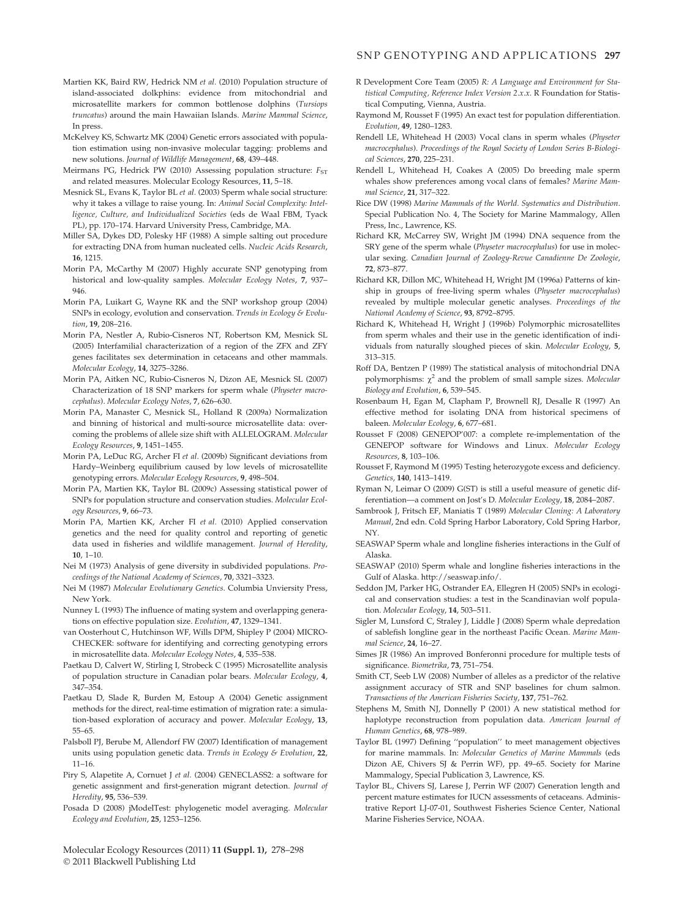## SNP GENOTYPING AND APPLICATIONS 297

- Martien KK, Baird RW, Hedrick NM et al. (2010) Population structure of island-associated dolkphins: evidence from mitochondrial and microsatellite markers for common bottlenose dolphins (Tursiops truncatus) around the main Hawaiian Islands. Marine Mammal Science, In press.
- McKelvey KS, Schwartz MK (2004) Genetic errors associated with population estimation using non-invasive molecular tagging: problems and new solutions. Journal of Wildlife Management, 68, 439–448.
- Meirmans PG, Hedrick PW (2010) Assessing population structure:  $F_{ST}$ and related measures. Molecular Ecology Resources, 11, 5–18.
- Mesnick SL, Evans K, Taylor BL et al. (2003) Sperm whale social structure: why it takes a village to raise young. In: Animal Social Complexity: Intelligence, Culture, and Individualized Societies (eds de Waal FBM, Tyack PL), pp. 170–174. Harvard University Press, Cambridge, MA.
- Miller SA, Dykes DD, Polesky HF (1988) A simple salting out procedure for extracting DNA from human nucleated cells. Nucleic Acids Research, 16, 1215.
- Morin PA, McCarthy M (2007) Highly accurate SNP genotyping from historical and low-quality samples. Molecular Ecology Notes, 7, 937– 946.
- Morin PA, Luikart G, Wayne RK and the SNP workshop group (2004) SNPs in ecology, evolution and conservation. Trends in Ecology & Evolution, 19, 208–216.
- Morin PA, Nestler A, Rubio-Cisneros NT, Robertson KM, Mesnick SL (2005) Interfamilial characterization of a region of the ZFX and ZFY genes facilitates sex determination in cetaceans and other mammals. Molecular Ecology, 14, 3275–3286.
- Morin PA, Aitken NC, Rubio-Cisneros N, Dizon AE, Mesnick SL (2007) Characterization of 18 SNP markers for sperm whale (Physeter macrocephalus). Molecular Ecology Notes, 7, 626–630.
- Morin PA, Manaster C, Mesnick SL, Holland R (2009a) Normalization and binning of historical and multi-source microsatellite data: overcoming the problems of allele size shift with ALLELOGRAM. Molecular Ecology Resources, 9, 1451–1455.
- Morin PA, LeDuc RG, Archer FI et al. (2009b) Significant deviations from Hardy–Weinberg equilibrium caused by low levels of microsatellite genotyping errors. Molecular Ecology Resources, 9, 498–504.
- Morin PA, Martien KK, Taylor BL (2009c) Assessing statistical power of SNPs for population structure and conservation studies. Molecular Ecology Resources, 9, 66–73.
- Morin PA, Martien KK, Archer FI et al. (2010) Applied conservation genetics and the need for quality control and reporting of genetic data used in fisheries and wildlife management. Journal of Heredity, 10, 1–10.
- Nei M (1973) Analysis of gene diversity in subdivided populations. Proceedings of the National Academy of Sciences, 70, 3321–3323.
- Nei M (1987) Molecular Evolutionary Genetics. Columbia Unviersity Press, New York.
- Nunney L (1993) The influence of mating system and overlapping generations on effective population size. Evolution, 47, 1329–1341.
- van Oosterhout C, Hutchinson WF, Wills DPM, Shipley P (2004) MICRO-CHECKER: software for identifying and correcting genotyping errors in microsatellite data. Molecular Ecology Notes, 4, 535–538.
- Paetkau D, Calvert W, Stirling I, Strobeck C (1995) Microsatellite analysis of population structure in Canadian polar bears. Molecular Ecology, 4, 347–354.
- Paetkau D, Slade R, Burden M, Estoup A (2004) Genetic assignment methods for the direct, real-time estimation of migration rate: a simulation-based exploration of accuracy and power. Molecular Ecology, 13, 55–65.
- Palsboll PJ, Berube M, Allendorf FW (2007) Identification of management units using population genetic data. Trends in Ecology & Evolution, 22, 11–16.
- Piry S, Alapetite A, Cornuet J et al. (2004) GENECLASS2: a software for genetic assignment and first-generation migrant detection. Journal of Heredity, 95, 536–539.
- Posada D (2008) jModelTest: phylogenetic model averaging. Molecular Ecology and Evolution, 25, 1253–1256.

Molecular Ecology Resources (2011) 11 (Suppl. 1), 278–298 - 2011 Blackwell Publishing Ltd

- R Development Core Team (2005) R: A Language and Environment for Statistical Computing, Reference Index Version 2.x.x. R Foundation for Statistical Computing, Vienna, Austria.
- Raymond M, Rousset F (1995) An exact test for population differentiation. Evolution, 49, 1280–1283.
- Rendell LE, Whitehead H (2003) Vocal clans in sperm whales (Physeter macrocephalus). Proceedings of the Royal Society of London Series B-Biological Sciences, 270, 225–231.
- Rendell L, Whitehead H, Coakes A (2005) Do breeding male sperm whales show preferences among vocal clans of females? Marine Mammal Science, 21, 317–322.
- Rice DW (1998) Marine Mammals of the World. Systematics and Distribution. Special Publication No. 4, The Society for Marine Mammalogy, Allen Press, Inc., Lawrence, KS.
- Richard KR, McCarrey SW, Wright JM (1994) DNA sequence from the SRY gene of the sperm whale (Physeter macrocephalus) for use in molecular sexing. Canadian Journal of Zoology-Revue Canadienne De Zoologie, 72, 873–877.
- Richard KR, Dillon MC, Whitehead H, Wright JM (1996a) Patterns of kinship in groups of free-living sperm whales (Physeter macrocephalus) revealed by multiple molecular genetic analyses. Proceedings of the National Academy of Science, 93, 8792–8795.
- Richard K, Whitehead H, Wright J (1996b) Polymorphic microsatellites from sperm whales and their use in the genetic identification of individuals from naturally sloughed pieces of skin. Molecular Ecology, 5, 313–315.
- Roff DA, Bentzen P (1989) The statistical analysis of mitochondrial DNA polymorphisms:  $\chi^2$  and the problem of small sample sizes. Molecular Biology and Evolution, 6, 539–545.
- Rosenbaum H, Egan M, Clapham P, Brownell RJ, Desalle R (1997) An effective method for isolating DNA from historical specimens of baleen. Molecular Ecology, 6, 677–681.
- Rousset F (2008) GENEPOP'007: a complete re-implementation of the GENEPOP software for Windows and Linux. Molecular Ecology Resources, 8, 103–106.
- Rousset F, Raymond M (1995) Testing heterozygote excess and deficiency. Genetics, 140, 1413–1419.
- Ryman N, Leimar O (2009) G(ST) is still a useful measure of genetic differentiation—a comment on Jost's D. Molecular Ecology, 18, 2084–2087.
- Sambrook J, Fritsch EF, Maniatis T (1989) Molecular Cloning: A Laboratory Manual, 2nd edn. Cold Spring Harbor Laboratory, Cold Spring Harbor, NY.
- SEASWAP Sperm whale and longline fisheries interactions in the Gulf of Alaska.
- SEASWAP (2010) Sperm whale and longline fisheries interactions in the Gulf of Alaska. http://seaswap.info/.
- Seddon JM, Parker HG, Ostrander EA, Ellegren H (2005) SNPs in ecological and conservation studies: a test in the Scandinavian wolf population. Molecular Ecology, 14, 503–511.
- Sigler M, Lunsford C, Straley J, Liddle J (2008) Sperm whale depredation of sablefish longline gear in the northeast Pacific Ocean. Marine Mammal Science, 24, 16–27.
- Simes JR (1986) An improved Bonferonni procedure for multiple tests of significance. Biometrika, 73, 751–754.
- Smith CT, Seeb LW (2008) Number of alleles as a predictor of the relative assignment accuracy of STR and SNP baselines for chum salmon. Transactions of the American Fisheries Society, 137, 751–762.
- Stephens M, Smith NJ, Donnelly P (2001) A new statistical method for haplotype reconstruction from population data. American Journal of Human Genetics, 68, 978–989.
- Taylor BL (1997) Defining ''population'' to meet management objectives for marine mammals. In: Molecular Genetics of Marine Mammals (eds Dizon AE, Chivers SJ & Perrin WF), pp. 49–65. Society for Marine Mammalogy, Special Publication 3, Lawrence, KS.
- Taylor BL, Chivers SJ, Larese J, Perrin WF (2007) Generation length and percent mature estimates for IUCN assessments of cetaceans. Administrative Report LJ-07-01, Southwest Fisheries Science Center, National Marine Fisheries Service, NOAA.